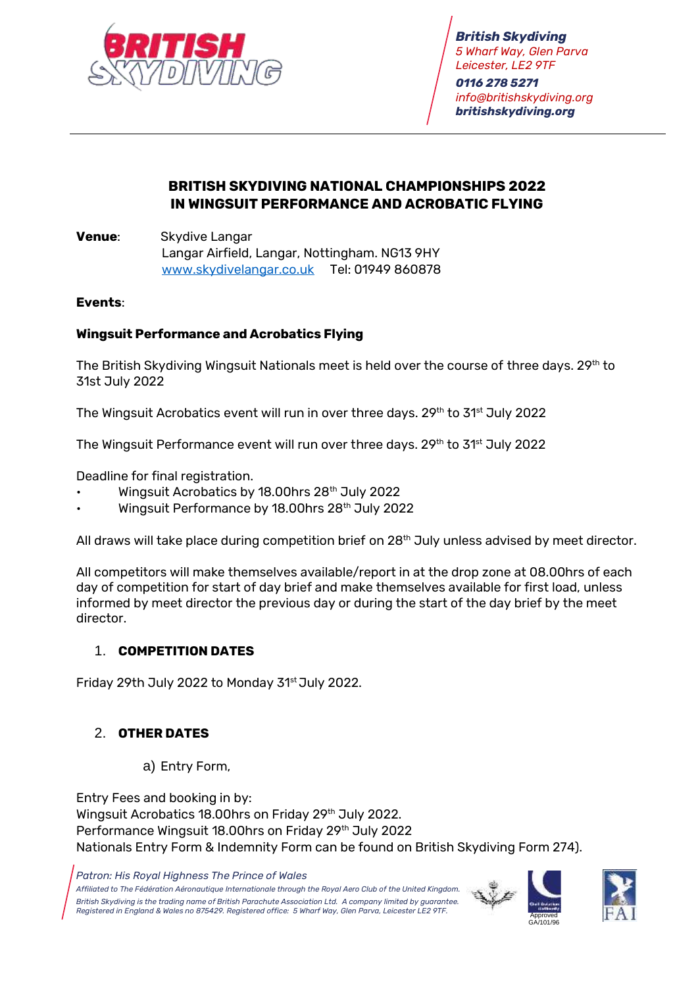

*British Skydiving 5 Wharf Way, Glen Parva Leicester, LE2 9TF 0116 278 5271 [info@britishskydiving.org](mailto:info@britishskydiving.org) britishskydiving.org*

# **BRITISH SKYDIVING NATIONAL CHAMPIONSHIPS 2022 IN WINGSUIT PERFORMANCE AND ACROBATIC FLYING**

**Venue**: Skydive Langar Langar Airfield, Langar, Nottingham. NG13 9HY [www.skydivelangar.co.uk](http://www.skydivelangar.co.uk/) Tel: 01949 860878

#### **Events**:

### **Wingsuit Performance and Acrobatics Flying**

The British Skydiving Wingsuit Nationals meet is held over the course of three days. 29<sup>th</sup> to 31st July 2022

The Wingsuit Acrobatics event will run in over three days. 29<sup>th</sup> to 31<sup>st</sup> July 2022

The Wingsuit Performance event will run over three days. 29th to 31st July 2022

Deadline for final registration.

- Wingsuit Acrobatics by 18.00hrs 28<sup>th</sup> July 2022
- Wingsuit Performance by 18.00hrs 28th July 2022

All draws will take place during competition brief on 28<sup>th</sup> July unless advised by meet director.

All competitors will make themselves available/report in at the drop zone at 08.00hrs of each day of competition for start of day brief and make themselves available for first load, unless informed by meet director the previous day or during the start of the day brief by the meet director.

#### 1. **COMPETITION DATES**

Friday 29th July 2022 to Monday 31<sup>st</sup> July 2022.

# 2. **OTHER DATES**

a) Entry Form,

Entry Fees and booking in by: Wingsuit Acrobatics 18.00hrs on Friday 29th July 2022. Performance Wingsuit 18.00hrs on Friday 29<sup>th</sup> July 2022 Nationals Entry Form & Indemnity Form can be found on British Skydiving Form 274).



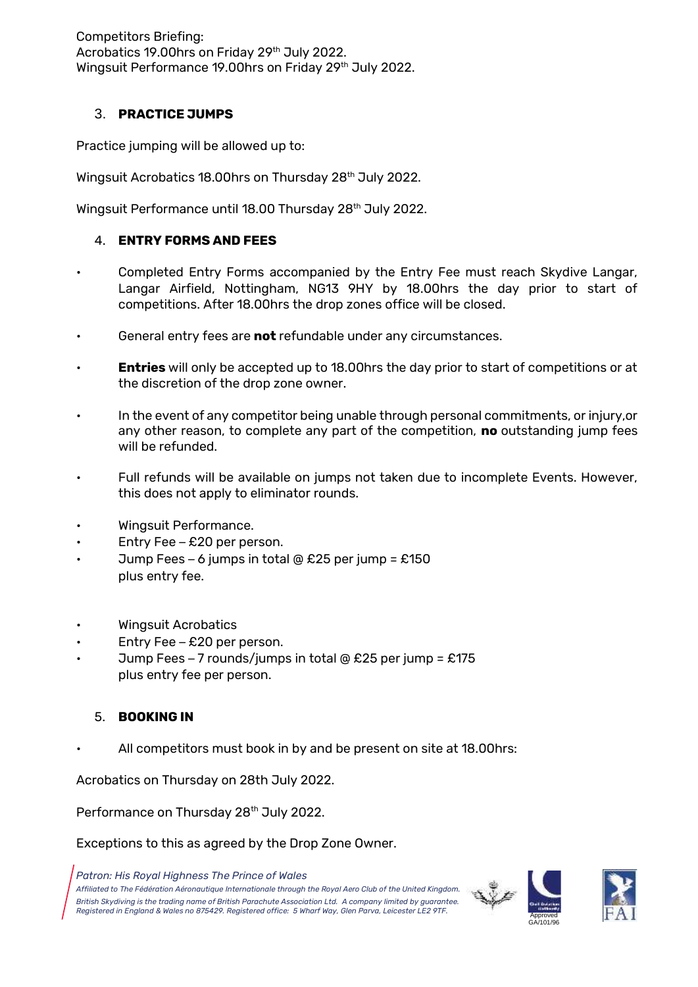Competitors Briefing: Acrobatics 19.00hrs on Friday 29<sup>th</sup> July 2022. Wingsuit Performance 19.00hrs on Friday 29<sup>th</sup> July 2022.

## 3. **PRACTICE JUMPS**

Practice jumping will be allowed up to:

Wingsuit Acrobatics 18.00hrs on Thursday 28th July 2022.

Wingsuit Performance until 18.00 Thursday 28<sup>th</sup> July 2022.

### 4. **ENTRY FORMS AND FEES**

- Completed Entry Forms accompanied by the Entry Fee must reach Skydive Langar, Langar Airfield, Nottingham, NG13 9HY by 18.00hrs the day prior to start of competitions. After 18.00hrs the drop zones office will be closed.
- General entry fees are **not** refundable under any circumstances.
- **Entries** will only be accepted up to 18.00hrs the day prior to start of competitions or at the discretion of the drop zone owner.
- In the event of any competitor being unable through personal commitments, or injury,or any other reason, to complete any part of the competition, **no** outstanding jump fees will be refunded.
- Full refunds will be available on jumps not taken due to incomplete Events. However, this does not apply to eliminator rounds.
- Wingsuit Performance.
- Entry Fee  $£20$  per person.
- Jump Fees 6 jumps in total @ £25 per jump = £150 plus entry fee.
- Wingsuit Acrobatics
- Entry Fee £20 per person.
- Jump Fees 7 rounds/jumps in total @ £25 per jump =  $£175$ plus entry fee per person.

### 5. **BOOKING IN**

All competitors must book in by and be present on site at 18.00 hrs:

Acrobatics on Thursday on 28th July 2022.

Performance on Thursday 28<sup>th</sup> July 2022.

Exceptions to this as agreed by the Drop Zone Owner.

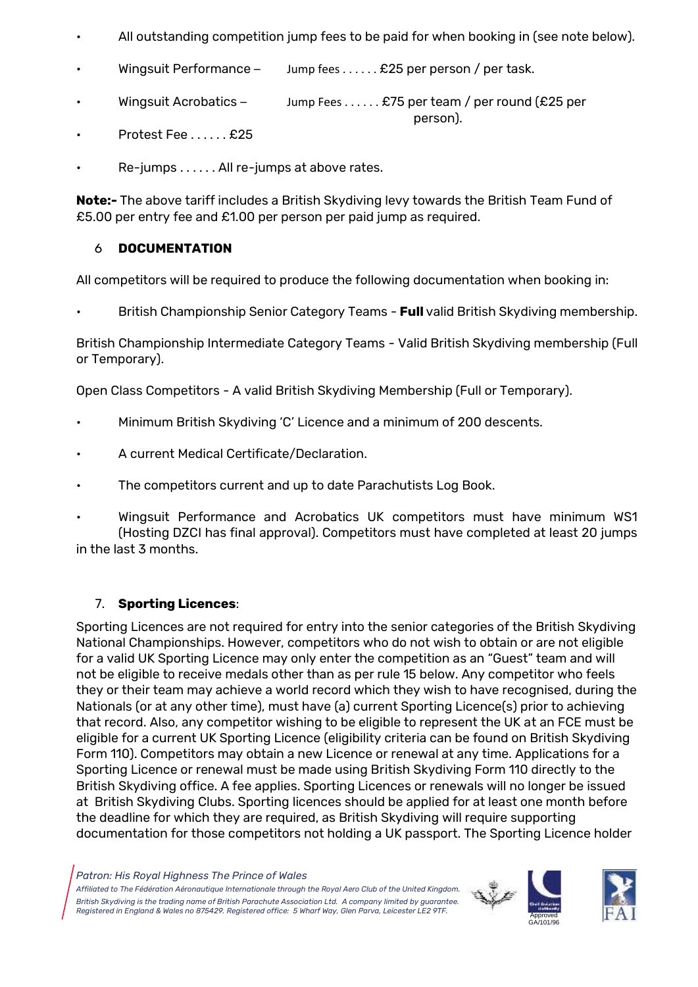All outstanding competition jump fees to be paid for when booking in (see note below).

person).

- Wingsuit Performance Jump fees . . . . . . £25 per person / per task.
- Wingsuit Acrobatics Jump Fees . . . . . . £75 per team / per round (£25 per
- Protest Fee . . . . . . £25
- Re-jumps . . . . . . All re-jumps at above rates.

**Note:-** The above tariff includes a British Skydiving levy towards the British Team Fund of £5.00 per entry fee and £1.00 per person per paid jump as required.

## 6 **DOCUMENTATION**

All competitors will be required to produce the following documentation when booking in:

• British Championship Senior Category Teams - **Full** valid British Skydiving membership.

British Championship Intermediate Category Teams - Valid British Skydiving membership (Full or Temporary).

Open Class Competitors - A valid British Skydiving Membership (Full or Temporary).

- Minimum British Skydiving 'C' Licence and a minimum of 200 descents.
- A current Medical Certificate/Declaration.
- The competitors current and up to date Parachutists Log Book.
- Wingsuit Performance and Acrobatics UK competitors must have minimum WS1 (Hosting DZCI has final approval). Competitors must have completed at least 20 jumps in the last 3 months.

# 7. **Sporting Licences**:

Sporting Licences are not required for entry into the senior categories of the British Skydiving National Championships. However, competitors who do not wish to obtain or are not eligible for a valid UK Sporting Licence may only enter the competition as an "Guest" team and will not be eligible to receive medals other than as per rule 15 below. Any competitor who feels they or their team may achieve a world record which they wish to have recognised, during the Nationals (or at any other time), must have (a) current Sporting Licence(s) prior to achieving that record. Also, any competitor wishing to be eligible to represent the UK at an FCE must be eligible for a current UK Sporting Licence (eligibility criteria can be found on British Skydiving Form 110). Competitors may obtain a new Licence or renewal at any time. Applications for a Sporting Licence or renewal must be made using British Skydiving Form 110 directly to the British Skydiving office. A fee applies. Sporting Licences or renewals will no longer be issued at British Skydiving Clubs. Sporting licences should be applied for at least one month before the deadline for which they are required, as British Skydiving will require supporting documentation for those competitors not holding a UK passport. The Sporting Licence holder



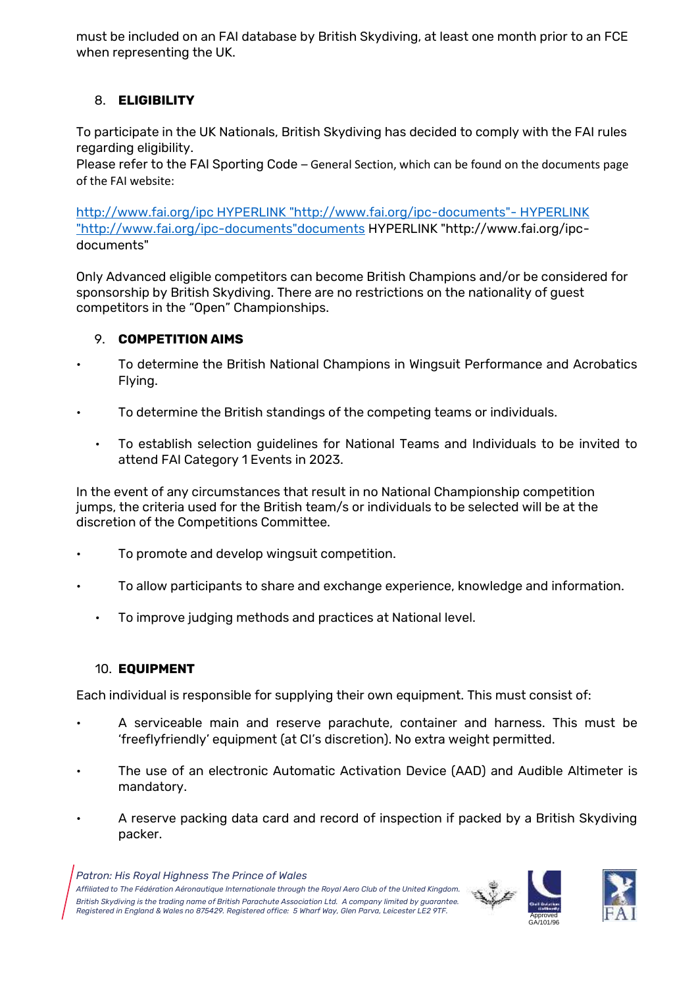must be included on an FAI database by British Skydiving, at least one month prior to an FCE when representing the UK.

## 8. **ELIGIBILITY**

To participate in the UK Nationals, British Skydiving has decided to comply with the FAI rules regarding eligibility.

Please refer to the FAI Sporting Code – General Section, which can be found on the documents page of the FAI website:

[http://www.fai.org/ipc HYPERLINK "http://www.fai.org/ipc-documents"-](http://www.fai.org/ipc-documents) HYPERLINK ["http://www.fai.org/ipc-documents"documents](http://www.fai.org/ipc-documents) HYPERLINK "http://www.fai.org/ipc[documents"](http://www.fai.org/ipc-documents)

Only Advanced eligible competitors can become British Champions and/or be considered for sponsorship by British Skydiving. There are no restrictions on the nationality of guest competitors in the "Open" Championships.

### 9. **COMPETITION AIMS**

- To determine the British National Champions in Wingsuit Performance and Acrobatics Flying.
- To determine the British standings of the competing teams or individuals.
	- To establish selection guidelines for National Teams and Individuals to be invited to attend FAI Category 1 Events in 2023.

In the event of any circumstances that result in no National Championship competition jumps, the criteria used for the British team/s or individuals to be selected will be at the discretion of the Competitions Committee.

- To promote and develop wingsuit competition.
- To allow participants to share and exchange experience, knowledge and information.
	- To improve judging methods and practices at National level.

#### 10. **EQUIPMENT**

Each individual is responsible for supplying their own equipment. This must consist of:

- A serviceable main and reserve parachute, container and harness. This must be 'freeflyfriendly' equipment (at CI's discretion). No extra weight permitted.
- The use of an electronic Automatic Activation Device (AAD) and Audible Altimeter is mandatory.
- A reserve packing data card and record of inspection if packed by a British Skydiving packer.



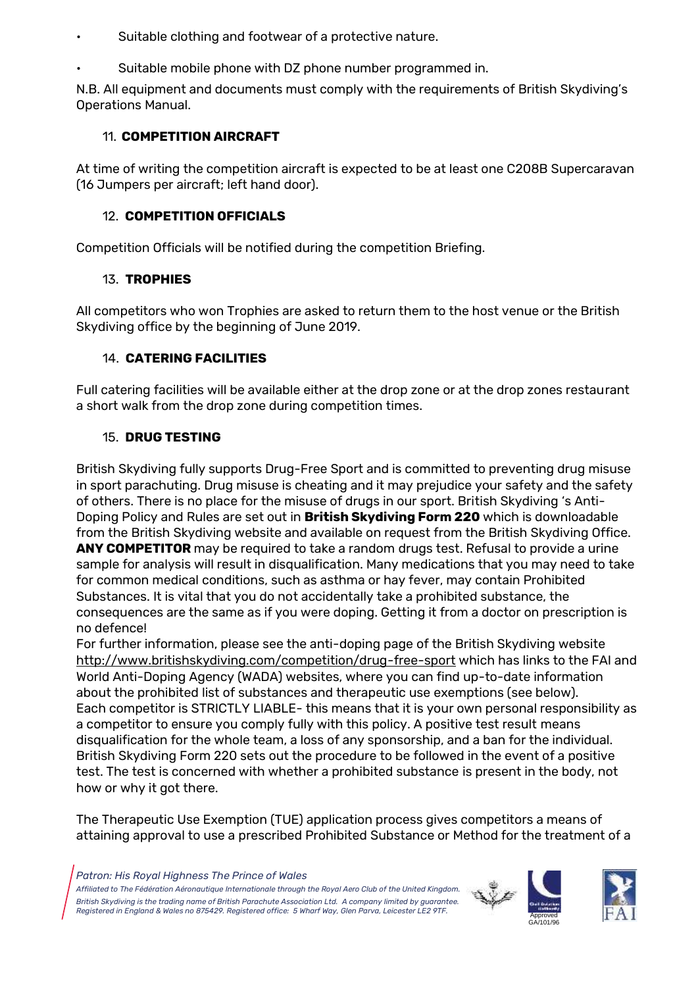- Suitable clothing and footwear of a protective nature.
- Suitable mobile phone with DZ phone number programmed in.

N.B. All equipment and documents must comply with the requirements of British Skydiving's Operations Manual.

# 11. **COMPETITION AIRCRAFT**

At time of writing the competition aircraft is expected to be at least one C208B Supercaravan (16 Jumpers per aircraft; left hand door).

### 12. **COMPETITION OFFICIALS**

Competition Officials will be notified during the competition Briefing.

# 13. **TROPHIES**

All competitors who won Trophies are asked to return them to the host venue or the British Skydiving office by the beginning of June 2019.

## 14. **CATERING FACILITIES**

Full catering facilities will be available either at the drop zone or at the drop zones restaurant a short walk from the drop zone during competition times.

## 15. **DRUG TESTING**

British Skydiving fully supports Drug-Free Sport and is committed to preventing drug misuse in sport parachuting. Drug misuse is cheating and it may prejudice your safety and the safety of others. There is no place for the misuse of drugs in our sport. British Skydiving 's Anti-Doping Policy and Rules are set out in **British Skydiving Form 220** which is downloadable from the British Skydiving website and available on request from the British Skydiving Office. **ANY COMPETITOR** may be required to take a random drugs test. Refusal to provide a urine sample for analysis will result in disqualification. Many medications that you may need to take for common medical conditions, such as asthma or hay fever, may contain Prohibited Substances. It is vital that you do not accidentally take a prohibited substance, the consequences are the same as if you were doping. Getting it from a doctor on prescription is no defence!

For further information, please see the anti-doping page of the British Skydiving website <http://www.britishskydiving.com/competition/drug-free-sport> which has links to the FAI and World Anti-Doping Agency (WADA) websites, where you can find up-to-date information about the prohibited list of substances and therapeutic use exemptions (see below). Each competitor is STRICTLY LIABLE- this means that it is your own personal responsibility as a competitor to ensure you comply fully with this policy. A positive test result means disqualification for the whole team, a loss of any sponsorship, and a ban for the individual. British Skydiving Form 220 sets out the procedure to be followed in the event of a positive test. The test is concerned with whether a prohibited substance is present in the body, not how or why it got there.

The Therapeutic Use Exemption (TUE) application process gives competitors a means of attaining approval to use a prescribed Prohibited Substance or Method for the treatment of a

*Patron: His Royal Highness The Prince of Wales*



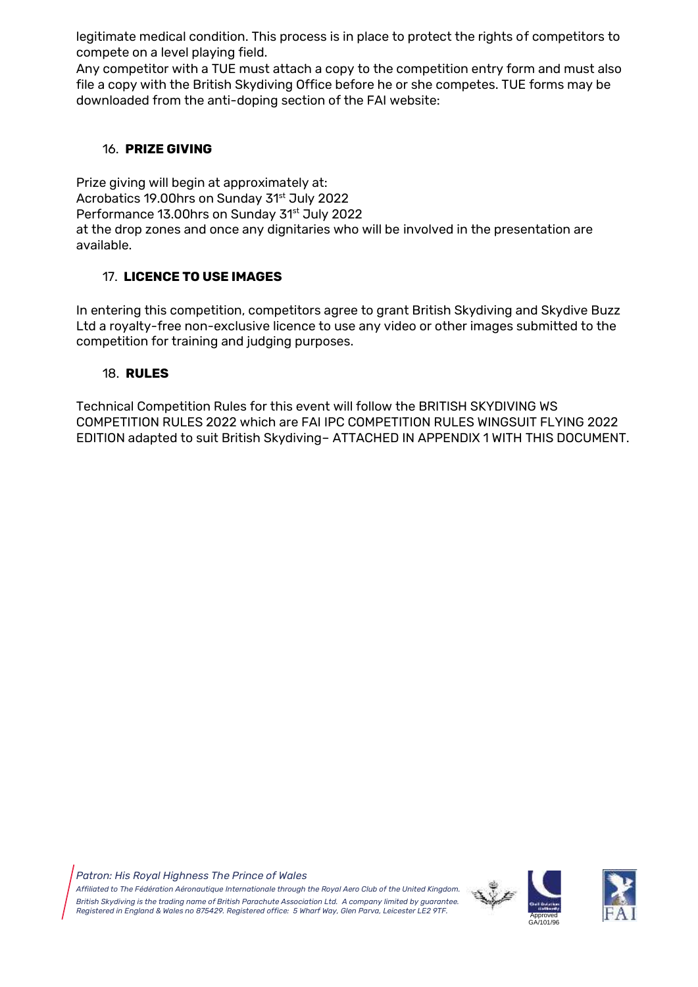legitimate medical condition. This process is in place to protect the rights of competitors to compete on a level playing field.

Any competitor with a TUE must attach a copy to the competition entry form and must also file a copy with the British Skydiving Office before he or she competes. TUE forms may be downloaded from the anti-doping section of the FAI website:

## 16. **PRIZE GIVING**

Prize giving will begin at approximately at: Acrobatics 19.00hrs on Sunday 31<sup>st</sup> July 2022 Performance 13.00hrs on Sunday 31<sup>st</sup> July 2022 at the drop zones and once any dignitaries who will be involved in the presentation are available.

# 17. **LICENCE TO USE IMAGES**

In entering this competition, competitors agree to grant British Skydiving and Skydive Buzz Ltd a royalty-free non-exclusive licence to use any video or other images submitted to the competition for training and judging purposes.

# 18. **RULES**

Technical Competition Rules for this event will follow the BRITISH SKYDIVING WS COMPETITION RULES 2022 which are FAI IPC COMPETITION RULES WINGSUIT FLYING 2022 EDITION adapted to suit British Skydiving– ATTACHED IN APPENDIX 1 WITH THIS DOCUMENT.



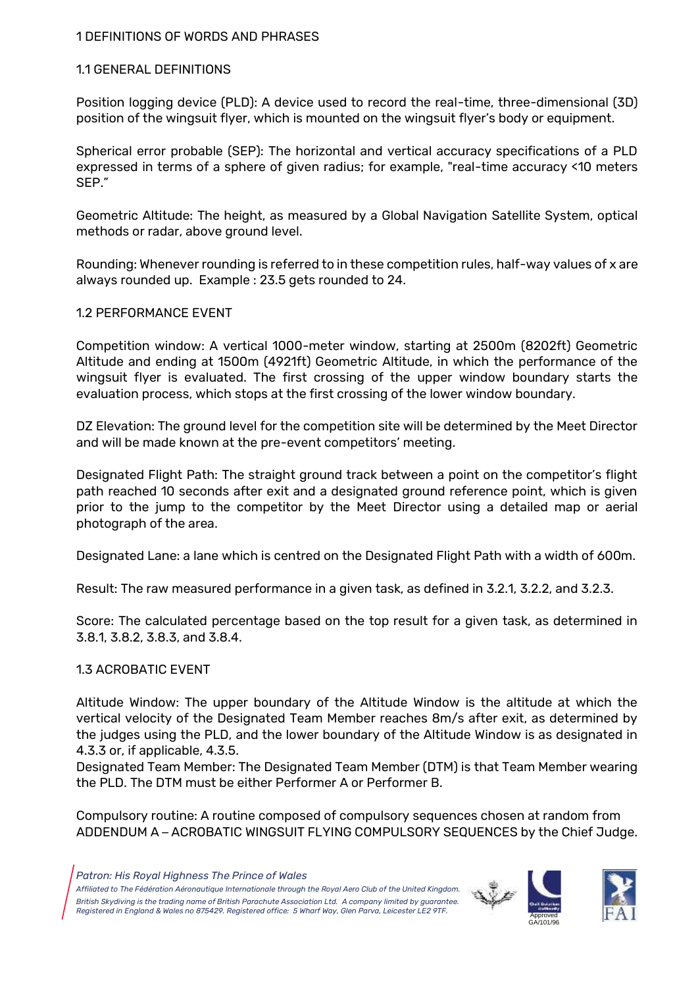#### 1 DEFINITIONS OF WORDS AND PHRASES

#### 1.1 GENERAL DEFINITIONS

Position logging device (PLD): A device used to record the real-time, three-dimensional (3D) position of the wingsuit flyer, which is mounted on the wingsuit flyer's body or equipment.

Spherical error probable (SEP): The horizontal and vertical accuracy specifications of a PLD expressed in terms of a sphere of given radius; for example, "real-time accuracy <10 meters SEP."

Geometric Altitude: The height, as measured by a Global Navigation Satellite System, optical methods or radar, above ground level.

Rounding: Whenever rounding is referred to in these competition rules, half-way values of x are always rounded up. Example : 23.5 gets rounded to 24.

#### 1.2 PERFORMANCE EVENT

Competition window: A vertical 1000-meter window, starting at 2500m (8202ft) Geometric Altitude and ending at 1500m (4921ft) Geometric Altitude, in which the performance of the wingsuit flyer is evaluated. The first crossing of the upper window boundary starts the evaluation process, which stops at the first crossing of the lower window boundary.

DZ Elevation: The ground level for the competition site will be determined by the Meet Director and will be made known at the pre-event competitors' meeting.

Designated Flight Path: The straight ground track between a point on the competitor's flight path reached 10 seconds after exit and a designated ground reference point, which is given prior to the jump to the competitor by the Meet Director using a detailed map or aerial photograph of the area.

Designated Lane: a lane which is centred on the Designated Flight Path with a width of 600m.

Result: The raw measured performance in a given task, as defined in 3.2.1, 3.2.2, and 3.2.3.

Score: The calculated percentage based on the top result for a given task, as determined in 3.8.1, 3.8.2, 3.8.3, and 3.8.4.

### 1.3 ACROBATIC EVENT

Altitude Window: The upper boundary of the Altitude Window is the altitude at which the vertical velocity of the Designated Team Member reaches 8m/s after exit, as determined by the judges using the PLD, and the lower boundary of the Altitude Window is as designated in 4.3.3 or, if applicable, 4.3.5.

Designated Team Member: The Designated Team Member (DTM) is that Team Member wearing the PLD. The DTM must be either Performer A or Performer B.

Compulsory routine: A routine composed of compulsory sequences chosen at random from ADDENDUM A – ACROBATIC WINGSUIT FLYING COMPULSORY SEQUENCES by the Chief Judge.



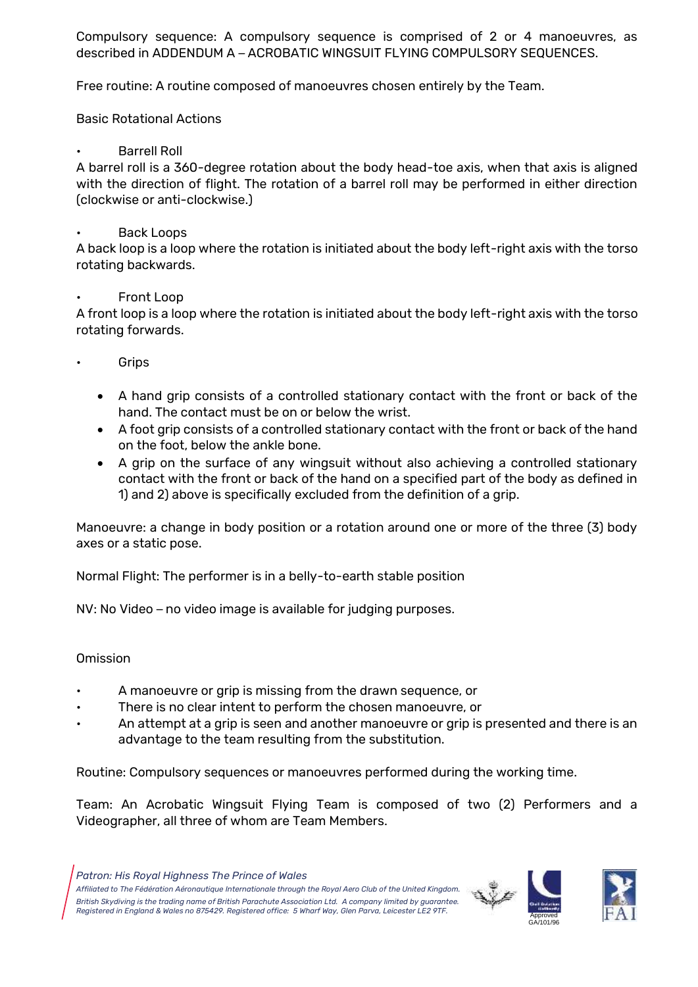Compulsory sequence: A compulsory sequence is comprised of 2 or 4 manoeuvres, as described in ADDENDUM A – ACROBATIC WINGSUIT FLYING COMPULSORY SEQUENCES.

Free routine: A routine composed of manoeuvres chosen entirely by the Team.

Basic Rotational Actions

• Barrell Roll

A barrel roll is a 360-degree rotation about the body head-toe axis, when that axis is aligned with the direction of flight. The rotation of a barrel roll may be performed in either direction (clockwise or anti-clockwise.)

### • Back Loops

A back loop is a loop where the rotation is initiated about the body left-right axis with the torso rotating backwards.

## • Front Loop

A front loop is a loop where the rotation is initiated about the body left-right axis with the torso rotating forwards.

- **Grips** 
	- A hand grip consists of a controlled stationary contact with the front or back of the hand. The contact must be on or below the wrist.
	- A foot grip consists of a controlled stationary contact with the front or back of the hand on the foot, below the ankle bone.
	- A grip on the surface of any wingsuit without also achieving a controlled stationary contact with the front or back of the hand on a specified part of the body as defined in 1) and 2) above is specifically excluded from the definition of a grip.

Manoeuvre: a change in body position or a rotation around one or more of the three (3) body axes or a static pose.

Normal Flight: The performer is in a belly-to-earth stable position

NV: No Video – no video image is available for judging purposes.

### Omission

- A manoeuvre or grip is missing from the drawn sequence, or
- There is no clear intent to perform the chosen manoeuvre, or
- An attempt at a grip is seen and another manoeuvre or grip is presented and there is an advantage to the team resulting from the substitution.

Routine: Compulsory sequences or manoeuvres performed during the working time.

Team: An Acrobatic Wingsuit Flying Team is composed of two (2) Performers and a Videographer, all three of whom are Team Members.

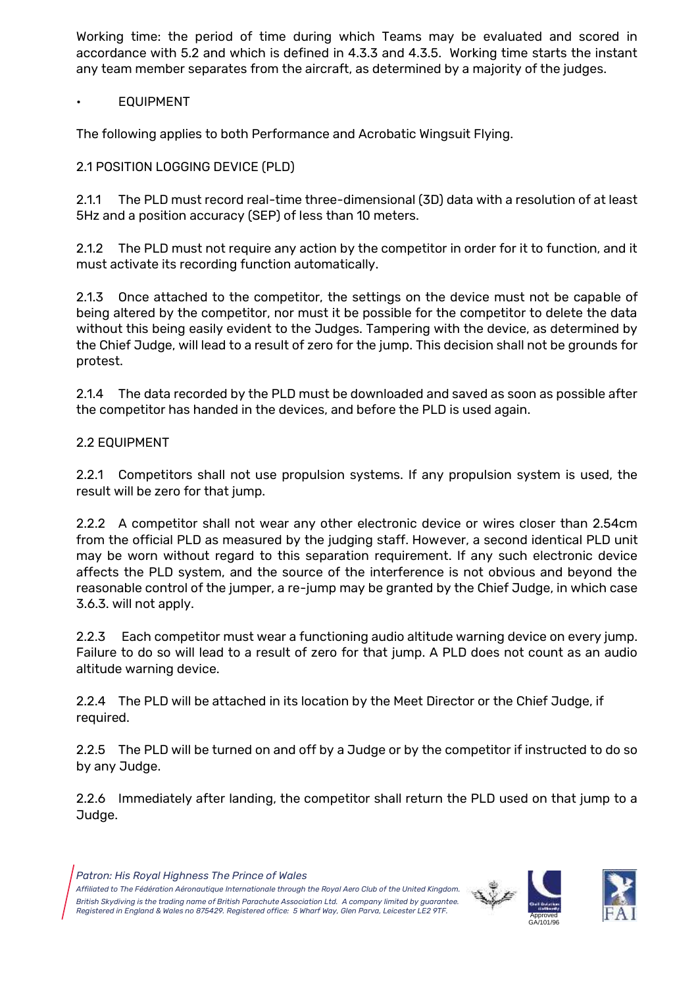Working time: the period of time during which Teams may be evaluated and scored in accordance with 5.2 and which is defined in 4.3.3 and 4.3.5. Working time starts the instant any team member separates from the aircraft, as determined by a majority of the judges.

## **EQUIPMENT**

The following applies to both Performance and Acrobatic Wingsuit Flying.

## 2.1 POSITION LOGGING DEVICE (PLD)

2.1.1 The PLD must record real-time three-dimensional (3D) data with a resolution of at least 5Hz and a position accuracy (SEP) of less than 10 meters.

2.1.2 The PLD must not require any action by the competitor in order for it to function, and it must activate its recording function automatically.

2.1.3 Once attached to the competitor, the settings on the device must not be capable of being altered by the competitor, nor must it be possible for the competitor to delete the data without this being easily evident to the Judges. Tampering with the device, as determined by the Chief Judge, will lead to a result of zero for the jump. This decision shall not be grounds for protest.

2.1.4 The data recorded by the PLD must be downloaded and saved as soon as possible after the competitor has handed in the devices, and before the PLD is used again.

### 2.2 EQUIPMENT

2.2.1 Competitors shall not use propulsion systems. If any propulsion system is used, the result will be zero for that jump.

2.2.2 A competitor shall not wear any other electronic device or wires closer than 2.54cm from the official PLD as measured by the judging staff. However, a second identical PLD unit may be worn without regard to this separation requirement. If any such electronic device affects the PLD system, and the source of the interference is not obvious and beyond the reasonable control of the jumper, a re-jump may be granted by the Chief Judge, in which case 3.6.3. will not apply.

2.2.3 Each competitor must wear a functioning audio altitude warning device on every jump. Failure to do so will lead to a result of zero for that jump. A PLD does not count as an audio altitude warning device.

2.2.4 The PLD will be attached in its location by the Meet Director or the Chief Judge, if required.

2.2.5 The PLD will be turned on and off by a Judge or by the competitor if instructed to do so by any Judge.

2.2.6 Immediately after landing, the competitor shall return the PLD used on that jump to a Judge.



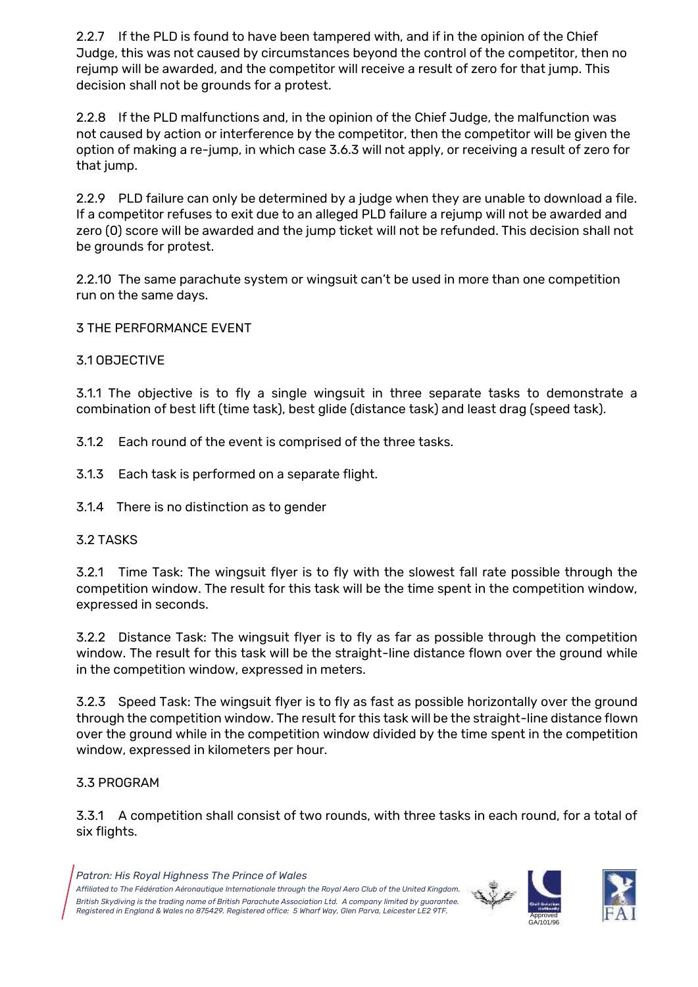2.2.7 If the PLD is found to have been tampered with, and if in the opinion of the Chief Judge, this was not caused by circumstances beyond the control of the competitor, then no rejump will be awarded, and the competitor will receive a result of zero for that jump. This decision shall not be grounds for a protest.

2.2.8 If the PLD malfunctions and, in the opinion of the Chief Judge, the malfunction was not caused by action or interference by the competitor, then the competitor will be given the option of making a re-jump, in which case 3.6.3 will not apply, or receiving a result of zero for that jump.

2.2.9 PLD failure can only be determined by a judge when they are unable to download a file. If a competitor refuses to exit due to an alleged PLD failure a rejump will not be awarded and zero (0) score will be awarded and the jump ticket will not be refunded. This decision shall not be grounds for protest.

2.2.10 The same parachute system or wingsuit can't be used in more than one competition run on the same days.

3 THE PERFORMANCE EVENT

## 3.1 OBJECTIVE

3.1.1 The objective is to fly a single wingsuit in three separate tasks to demonstrate a combination of best lift (time task), best glide (distance task) and least drag (speed task).

- 3.1.2 Each round of the event is comprised of the three tasks.
- 3.1.3 Each task is performed on a separate flight.
- 3.1.4 There is no distinction as to gender

### 3.2 TASKS

3.2.1 Time Task: The wingsuit flyer is to fly with the slowest fall rate possible through the competition window. The result for this task will be the time spent in the competition window, expressed in seconds.

3.2.2 Distance Task: The wingsuit flyer is to fly as far as possible through the competition window. The result for this task will be the straight-line distance flown over the ground while in the competition window, expressed in meters.

3.2.3 Speed Task: The wingsuit flyer is to fly as fast as possible horizontally over the ground through the competition window. The result for this task will be the straight-line distance flown over the ground while in the competition window divided by the time spent in the competition window, expressed in kilometers per hour.

### 3.3 PROGRAM

3.3.1 A competition shall consist of two rounds, with three tasks in each round, for a total of six flights.



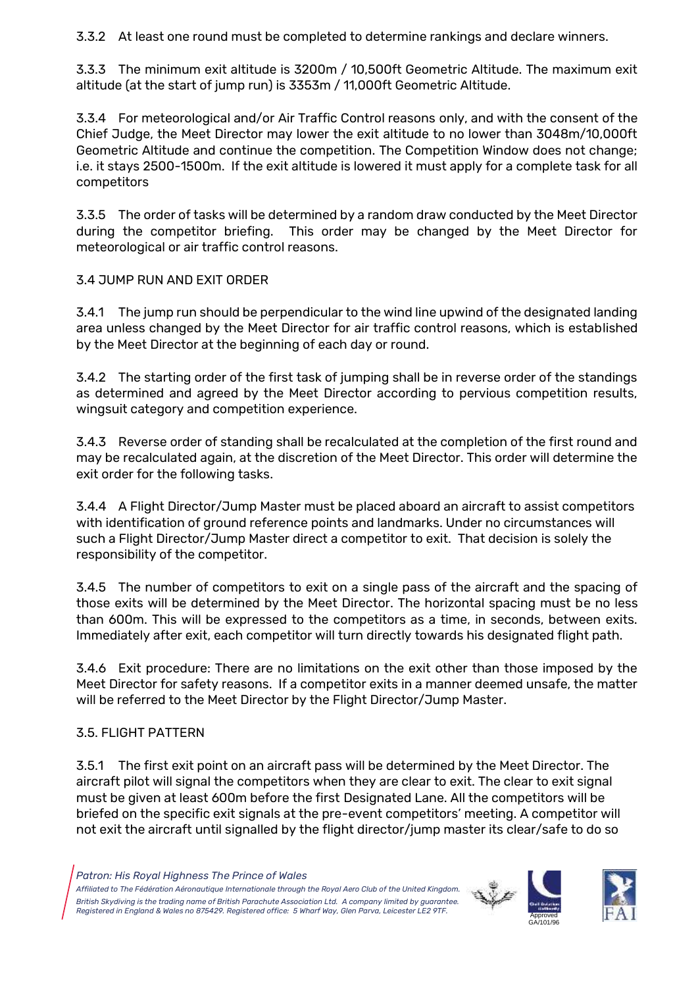3.3.2 At least one round must be completed to determine rankings and declare winners.

3.3.3 The minimum exit altitude is 3200m / 10,500ft Geometric Altitude. The maximum exit altitude (at the start of jump run) is 3353m / 11,000ft Geometric Altitude.

3.3.4 For meteorological and/or Air Traffic Control reasons only, and with the consent of the Chief Judge, the Meet Director may lower the exit altitude to no lower than 3048m/10,000ft Geometric Altitude and continue the competition. The Competition Window does not change; i.e. it stays 2500-1500m. If the exit altitude is lowered it must apply for a complete task for all competitors

3.3.5 The order of tasks will be determined by a random draw conducted by the Meet Director during the competitor briefing. This order may be changed by the Meet Director for meteorological or air traffic control reasons.

# 3.4 JUMP RUN AND EXIT ORDER

3.4.1 The jump run should be perpendicular to the wind line upwind of the designated landing area unless changed by the Meet Director for air traffic control reasons, which is established by the Meet Director at the beginning of each day or round.

3.4.2 The starting order of the first task of jumping shall be in reverse order of the standings as determined and agreed by the Meet Director according to pervious competition results, wingsuit category and competition experience.

3.4.3 Reverse order of standing shall be recalculated at the completion of the first round and may be recalculated again, at the discretion of the Meet Director. This order will determine the exit order for the following tasks.

3.4.4 A Flight Director/Jump Master must be placed aboard an aircraft to assist competitors with identification of ground reference points and landmarks. Under no circumstances will such a Flight Director/Jump Master direct a competitor to exit. That decision is solely the responsibility of the competitor.

3.4.5 The number of competitors to exit on a single pass of the aircraft and the spacing of those exits will be determined by the Meet Director. The horizontal spacing must be no less than 600m. This will be expressed to the competitors as a time, in seconds, between exits. Immediately after exit, each competitor will turn directly towards his designated flight path.

3.4.6 Exit procedure: There are no limitations on the exit other than those imposed by the Meet Director for safety reasons. If a competitor exits in a manner deemed unsafe, the matter will be referred to the Meet Director by the Flight Director/Jump Master.

### 3.5. FLIGHT PATTERN

3.5.1 The first exit point on an aircraft pass will be determined by the Meet Director. The aircraft pilot will signal the competitors when they are clear to exit. The clear to exit signal must be given at least 600m before the first Designated Lane. All the competitors will be briefed on the specific exit signals at the pre-event competitors' meeting. A competitor will not exit the aircraft until signalled by the flight director/jump master its clear/safe to do so



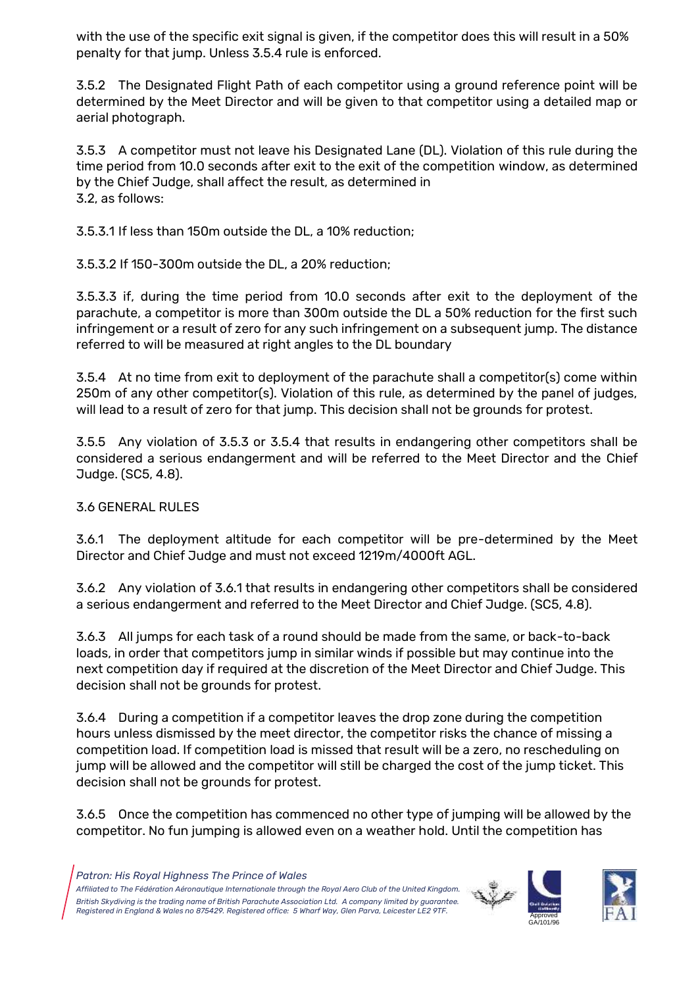with the use of the specific exit signal is given, if the competitor does this will result in a 50% penalty for that jump. Unless 3.5.4 rule is enforced.

3.5.2 The Designated Flight Path of each competitor using a ground reference point will be determined by the Meet Director and will be given to that competitor using a detailed map or aerial photograph.

3.5.3 A competitor must not leave his Designated Lane (DL). Violation of this rule during the time period from 10.0 seconds after exit to the exit of the competition window, as determined by the Chief Judge, shall affect the result, as determined in 3.2, as follows:

3.5.3.1 If less than 150m outside the DL, a 10% reduction;

3.5.3.2 If 150-300m outside the DL, a 20% reduction;

3.5.3.3 if, during the time period from 10.0 seconds after exit to the deployment of the parachute, a competitor is more than 300m outside the DL a 50% reduction for the first such infringement or a result of zero for any such infringement on a subsequent jump. The distance referred to will be measured at right angles to the DL boundary

3.5.4 At no time from exit to deployment of the parachute shall a competitor(s) come within 250m of any other competitor(s). Violation of this rule, as determined by the panel of judges, will lead to a result of zero for that jump. This decision shall not be grounds for protest.

3.5.5 Any violation of 3.5.3 or 3.5.4 that results in endangering other competitors shall be considered a serious endangerment and will be referred to the Meet Director and the Chief Judge. (SC5, 4.8).

# 3.6 GENERAL RULES

3.6.1 The deployment altitude for each competitor will be pre-determined by the Meet Director and Chief Judge and must not exceed 1219m/4000ft AGL.

3.6.2 Any violation of 3.6.1 that results in endangering other competitors shall be considered a serious endangerment and referred to the Meet Director and Chief Judge. (SC5, 4.8).

3.6.3 All jumps for each task of a round should be made from the same, or back-to-back loads, in order that competitors jump in similar winds if possible but may continue into the next competition day if required at the discretion of the Meet Director and Chief Judge. This decision shall not be grounds for protest.

3.6.4 During a competition if a competitor leaves the drop zone during the competition hours unless dismissed by the meet director, the competitor risks the chance of missing a competition load. If competition load is missed that result will be a zero, no rescheduling on jump will be allowed and the competitor will still be charged the cost of the jump ticket. This decision shall not be grounds for protest.

3.6.5 Once the competition has commenced no other type of jumping will be allowed by the competitor. No fun jumping is allowed even on a weather hold. Until the competition has



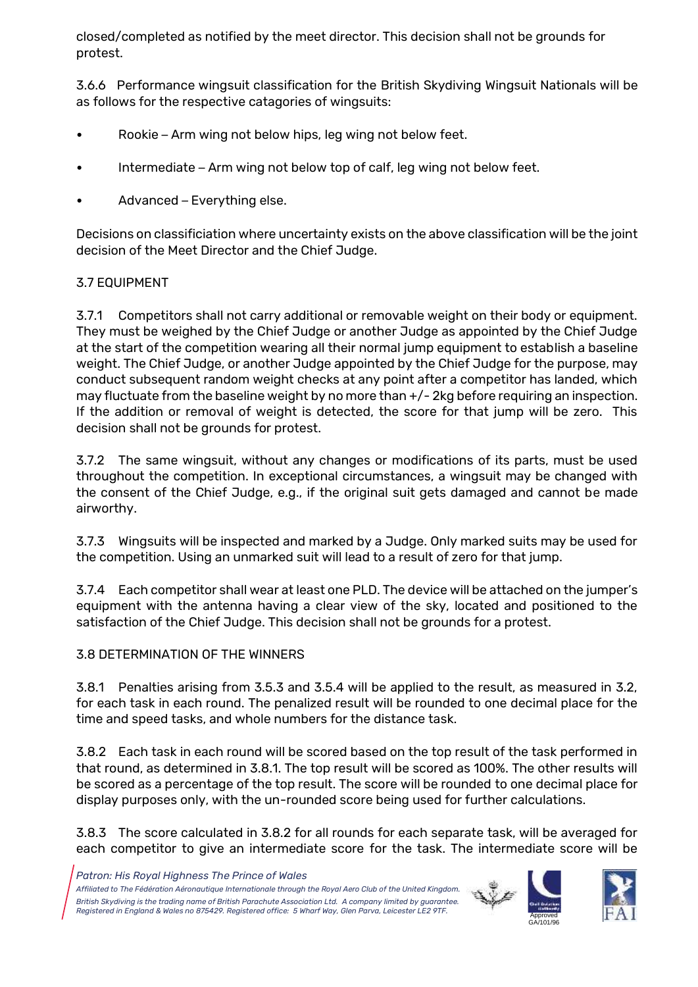closed/completed as notified by the meet director. This decision shall not be grounds for protest.

3.6.6 Performance wingsuit classification for the British Skydiving Wingsuit Nationals will be as follows for the respective catagories of wingsuits:

- Rookie Arm wing not below hips, leg wing not below feet.
- Intermediate Arm wing not below top of calf, leg wing not below feet.
- Advanced Everything else.

Decisions on classificiation where uncertainty exists on the above classification will be the joint decision of the Meet Director and the Chief Judge.

# 3.7 EQUIPMENT

3.7.1 Competitors shall not carry additional or removable weight on their body or equipment. They must be weighed by the Chief Judge or another Judge as appointed by the Chief Judge at the start of the competition wearing all their normal jump equipment to establish a baseline weight. The Chief Judge, or another Judge appointed by the Chief Judge for the purpose, may conduct subsequent random weight checks at any point after a competitor has landed, which may fluctuate from the baseline weight by no more than +/- 2kg before requiring an inspection. If the addition or removal of weight is detected, the score for that jump will be zero. This decision shall not be grounds for protest.

3.7.2 The same wingsuit, without any changes or modifications of its parts, must be used throughout the competition. In exceptional circumstances, a wingsuit may be changed with the consent of the Chief Judge, e.g., if the original suit gets damaged and cannot be made airworthy.

3.7.3 Wingsuits will be inspected and marked by a Judge. Only marked suits may be used for the competition. Using an unmarked suit will lead to a result of zero for that jump.

3.7.4 Each competitor shall wear at least one PLD. The device will be attached on the jumper's equipment with the antenna having a clear view of the sky, located and positioned to the satisfaction of the Chief Judge. This decision shall not be grounds for a protest.

# 3.8 DETERMINATION OF THE WINNERS

3.8.1 Penalties arising from 3.5.3 and 3.5.4 will be applied to the result, as measured in 3.2, for each task in each round. The penalized result will be rounded to one decimal place for the time and speed tasks, and whole numbers for the distance task.

3.8.2 Each task in each round will be scored based on the top result of the task performed in that round, as determined in 3.8.1. The top result will be scored as 100%. The other results will be scored as a percentage of the top result. The score will be rounded to one decimal place for display purposes only, with the un-rounded score being used for further calculations.

3.8.3 The score calculated in 3.8.2 for all rounds for each separate task, will be averaged for each competitor to give an intermediate score for the task. The intermediate score will be





*Patron: His Royal Highness The Prince of Wales*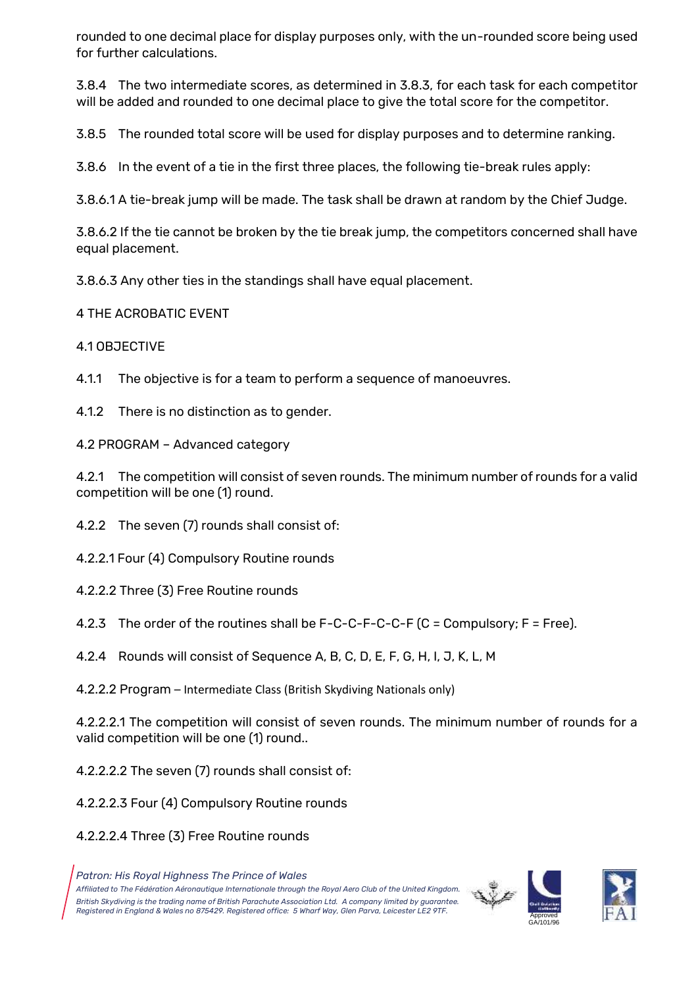rounded to one decimal place for display purposes only, with the un-rounded score being used for further calculations.

3.8.4 The two intermediate scores, as determined in 3.8.3, for each task for each competitor will be added and rounded to one decimal place to give the total score for the competitor.

3.8.5 The rounded total score will be used for display purposes and to determine ranking.

3.8.6 In the event of a tie in the first three places, the following tie-break rules apply:

3.8.6.1 A tie-break jump will be made. The task shall be drawn at random by the Chief Judge.

3.8.6.2 If the tie cannot be broken by the tie break jump, the competitors concerned shall have equal placement.

3.8.6.3 Any other ties in the standings shall have equal placement.

4 THE ACROBATIC EVENT

4.1 OBJECTIVE

4.1.1 The objective is for a team to perform a sequence of manoeuvres.

4.1.2 There is no distinction as to gender.

4.2 PROGRAM – Advanced category

4.2.1 The competition will consist of seven rounds. The minimum number of rounds for a valid competition will be one (1) round.

4.2.2 The seven (7) rounds shall consist of:

4.2.2.1 Four (4) Compulsory Routine rounds

- 4.2.2.2 Three (3) Free Routine rounds
- 4.2.3 The order of the routines shall be  $F-C-C-F-C-C-F$  (C = Compulsory;  $F = Free$ ).

4.2.4 Rounds will consist of Sequence A, B, C, D, E, F, G, H, I, J, K, L, M

4.2.2.2 Program – Intermediate Class (British Skydiving Nationals only)

4.2.2.2.1 The competition will consist of seven rounds. The minimum number of rounds for a valid competition will be one (1) round..

4.2.2.2.2 The seven (7) rounds shall consist of:

- 4.2.2.2.3 Four (4) Compulsory Routine rounds
- 4.2.2.2.4 Three (3) Free Routine rounds

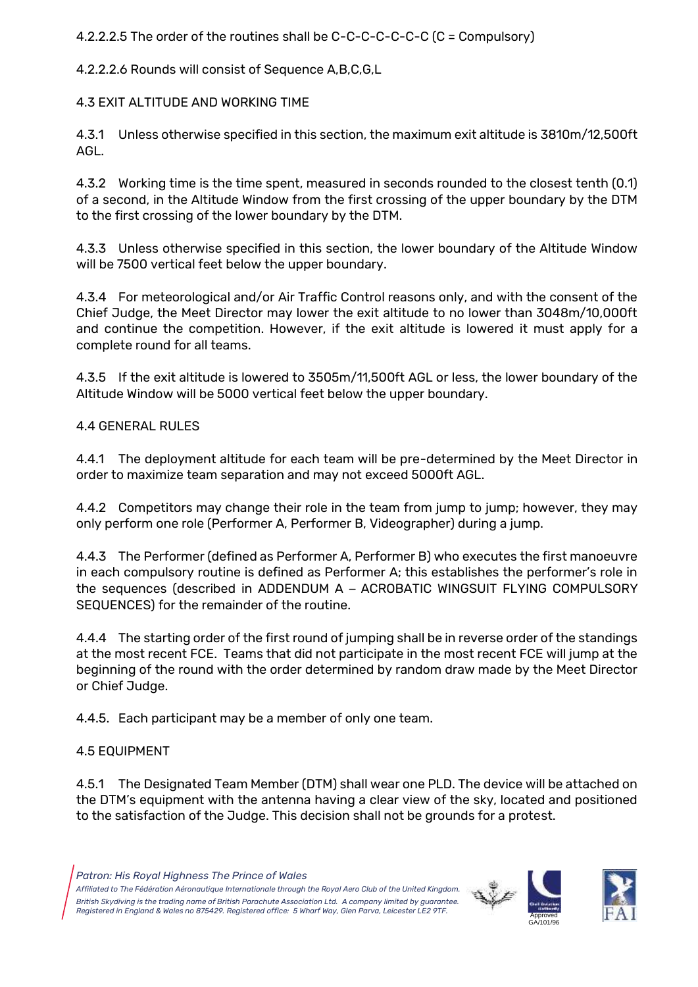4.2.2.2.5 The order of the routines shall be C-C-C-C-C-C-C (C = Compulsory)

4.2.2.2.6 Rounds will consist of Sequence A,B,C,G,L

4.3 EXIT ALTITUDE AND WORKING TIME

4.3.1 Unless otherwise specified in this section, the maximum exit altitude is 3810m/12,500ft AGL.

4.3.2 Working time is the time spent, measured in seconds rounded to the closest tenth (0.1) of a second, in the Altitude Window from the first crossing of the upper boundary by the DTM to the first crossing of the lower boundary by the DTM.

4.3.3 Unless otherwise specified in this section, the lower boundary of the Altitude Window will be 7500 vertical feet below the upper boundary.

4.3.4 For meteorological and/or Air Traffic Control reasons only, and with the consent of the Chief Judge, the Meet Director may lower the exit altitude to no lower than 3048m/10,000ft and continue the competition. However, if the exit altitude is lowered it must apply for a complete round for all teams.

4.3.5 If the exit altitude is lowered to 3505m/11,500ft AGL or less, the lower boundary of the Altitude Window will be 5000 vertical feet below the upper boundary.

4.4 GENERAL RULES

4.4.1 The deployment altitude for each team will be pre-determined by the Meet Director in order to maximize team separation and may not exceed 5000ft AGL.

4.4.2 Competitors may change their role in the team from jump to jump; however, they may only perform one role (Performer A, Performer B, Videographer) during a jump.

4.4.3 The Performer (defined as Performer A, Performer B) who executes the first manoeuvre in each compulsory routine is defined as Performer A; this establishes the performer's role in the sequences (described in ADDENDUM A – ACROBATIC WINGSUIT FLYING COMPULSORY SEQUENCES) for the remainder of the routine.

4.4.4 The starting order of the first round of jumping shall be in reverse order of the standings at the most recent FCE. Teams that did not participate in the most recent FCE will jump at the beginning of the round with the order determined by random draw made by the Meet Director or Chief Judge.

4.4.5. Each participant may be a member of only one team.

# 4.5 EQUIPMENT

4.5.1 The Designated Team Member (DTM) shall wear one PLD. The device will be attached on the DTM's equipment with the antenna having a clear view of the sky, located and positioned to the satisfaction of the Judge. This decision shall not be grounds for a protest.

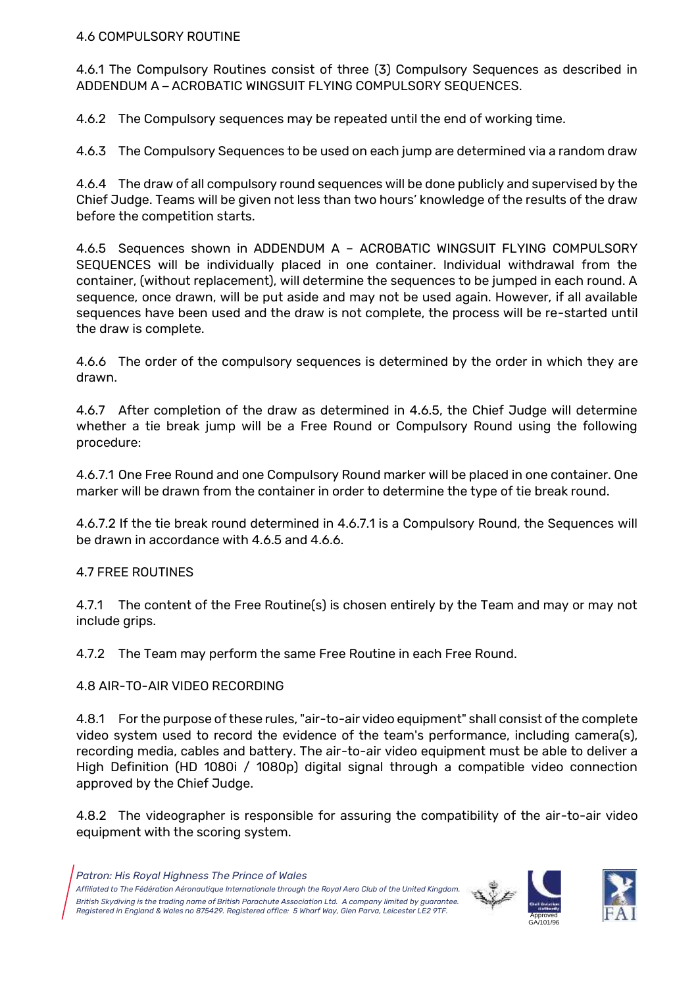#### 4.6 COMPULSORY ROUTINE

4.6.1 The Compulsory Routines consist of three (3) Compulsory Sequences as described in ADDENDUM A – ACROBATIC WINGSUIT FLYING COMPULSORY SEQUENCES.

4.6.2 The Compulsory sequences may be repeated until the end of working time.

4.6.3 The Compulsory Sequences to be used on each jump are determined via a random draw

4.6.4 The draw of all compulsory round sequences will be done publicly and supervised by the Chief Judge. Teams will be given not less than two hours' knowledge of the results of the draw before the competition starts.

4.6.5 Sequences shown in ADDENDUM A – ACROBATIC WINGSUIT FLYING COMPULSORY SEQUENCES will be individually placed in one container. Individual withdrawal from the container, (without replacement), will determine the sequences to be jumped in each round. A sequence, once drawn, will be put aside and may not be used again. However, if all available sequences have been used and the draw is not complete, the process will be re-started until the draw is complete.

4.6.6 The order of the compulsory sequences is determined by the order in which they are drawn.

4.6.7 After completion of the draw as determined in 4.6.5, the Chief Judge will determine whether a tie break jump will be a Free Round or Compulsory Round using the following procedure:

4.6.7.1 One Free Round and one Compulsory Round marker will be placed in one container. One marker will be drawn from the container in order to determine the type of tie break round.

4.6.7.2 If the tie break round determined in 4.6.7.1 is a Compulsory Round, the Sequences will be drawn in accordance with 4.6.5 and 4.6.6.

#### 4.7 FREE ROUTINES

4.7.1 The content of the Free Routine(s) is chosen entirely by the Team and may or may not include grips.

4.7.2 The Team may perform the same Free Routine in each Free Round.

4.8 AIR-TO-AIR VIDEO RECORDING

4.8.1 For the purpose of these rules, "air-to-air video equipment" shall consist of the complete video system used to record the evidence of the team's performance, including camera(s), recording media, cables and battery. The air-to-air video equipment must be able to deliver a High Definition (HD 1080i / 1080p) digital signal through a compatible video connection approved by the Chief Judge.

4.8.2 The videographer is responsible for assuring the compatibility of the air-to-air video equipment with the scoring system.

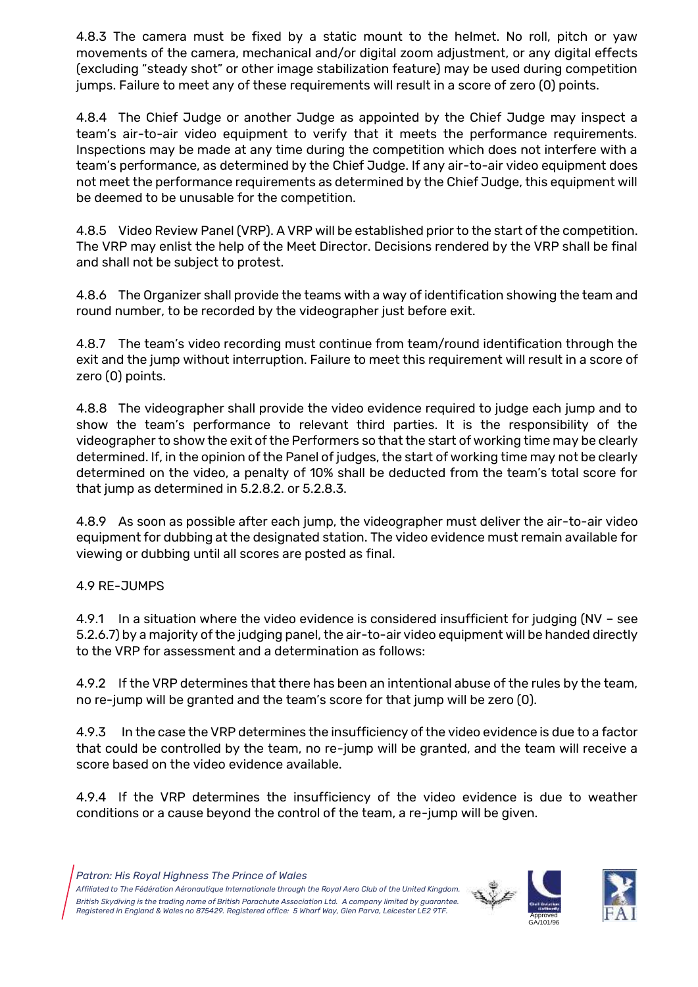4.8.3 The camera must be fixed by a static mount to the helmet. No roll, pitch or yaw movements of the camera, mechanical and/or digital zoom adjustment, or any digital effects (excluding "steady shot" or other image stabilization feature) may be used during competition jumps. Failure to meet any of these requirements will result in a score of zero (0) points.

4.8.4 The Chief Judge or another Judge as appointed by the Chief Judge may inspect a team's air-to-air video equipment to verify that it meets the performance requirements. Inspections may be made at any time during the competition which does not interfere with a team's performance, as determined by the Chief Judge. If any air-to-air video equipment does not meet the performance requirements as determined by the Chief Judge, this equipment will be deemed to be unusable for the competition.

4.8.5 Video Review Panel (VRP). A VRP will be established prior to the start of the competition. The VRP may enlist the help of the Meet Director. Decisions rendered by the VRP shall be final and shall not be subject to protest.

4.8.6 The Organizer shall provide the teams with a way of identification showing the team and round number, to be recorded by the videographer just before exit.

4.8.7 The team's video recording must continue from team/round identification through the exit and the jump without interruption. Failure to meet this requirement will result in a score of zero (0) points.

4.8.8 The videographer shall provide the video evidence required to judge each jump and to show the team's performance to relevant third parties. It is the responsibility of the videographer to show the exit of the Performers so that the start of working time may be clearly determined. If, in the opinion of the Panel of judges, the start of working time may not be clearly determined on the video, a penalty of 10% shall be deducted from the team's total score for that jump as determined in 5.2.8.2. or 5.2.8.3.

4.8.9 As soon as possible after each jump, the videographer must deliver the air-to-air video equipment for dubbing at the designated station. The video evidence must remain available for viewing or dubbing until all scores are posted as final.

4.9 RE-JUMPS

4.9.1 In a situation where the video evidence is considered insufficient for judging (NV – see 5.2.6.7) by a majority of the judging panel, the air-to-air video equipment will be handed directly to the VRP for assessment and a determination as follows:

4.9.2 If the VRP determines that there has been an intentional abuse of the rules by the team, no re-jump will be granted and the team's score for that jump will be zero (0).

4.9.3 In the case the VRP determines the insufficiency of the video evidence is due to a factor that could be controlled by the team, no re-jump will be granted, and the team will receive a score based on the video evidence available.

4.9.4 If the VRP determines the insufficiency of the video evidence is due to weather conditions or a cause beyond the control of the team, a re-jump will be given.



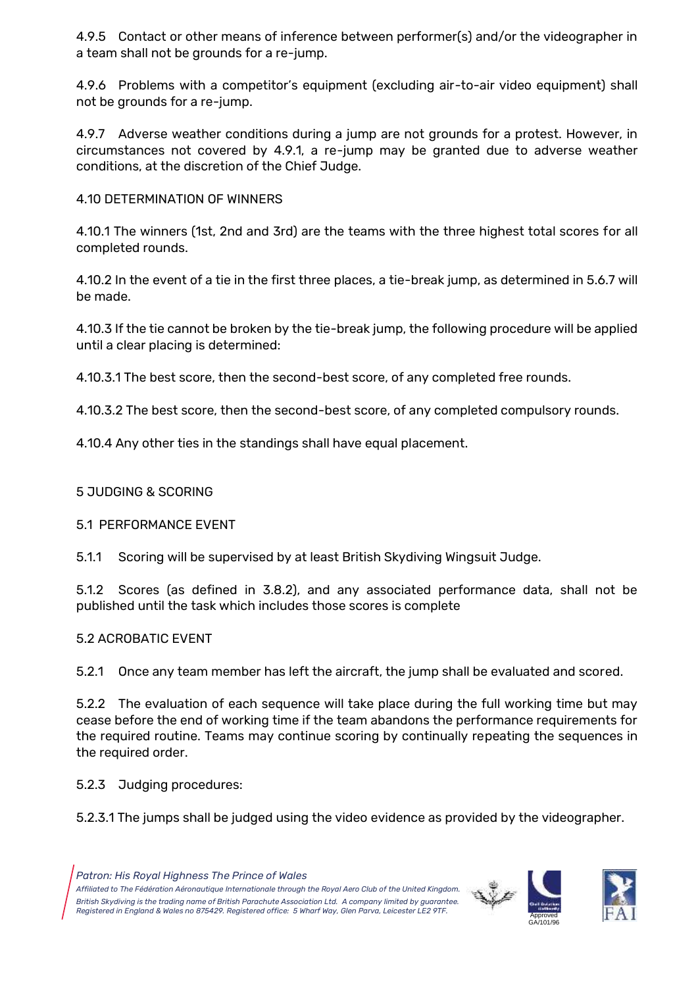4.9.5 Contact or other means of inference between performer(s) and/or the videographer in a team shall not be grounds for a re-jump.

4.9.6 Problems with a competitor's equipment (excluding air-to-air video equipment) shall not be grounds for a re-jump.

4.9.7 Adverse weather conditions during a jump are not grounds for a protest. However, in circumstances not covered by 4.9.1, a re-jump may be granted due to adverse weather conditions, at the discretion of the Chief Judge.

## 4.10 DETERMINATION OF WINNERS

4.10.1 The winners (1st, 2nd and 3rd) are the teams with the three highest total scores for all completed rounds.

4.10.2 In the event of a tie in the first three places, a tie-break jump, as determined in 5.6.7 will be made.

4.10.3 If the tie cannot be broken by the tie-break jump, the following procedure will be applied until a clear placing is determined:

4.10.3.1 The best score, then the second-best score, of any completed free rounds.

4.10.3.2 The best score, then the second-best score, of any completed compulsory rounds.

4.10.4 Any other ties in the standings shall have equal placement.

### 5 JUDGING & SCORING

### 5.1 PERFORMANCE EVENT

5.1.1 Scoring will be supervised by at least British Skydiving Wingsuit Judge.

5.1.2 Scores (as defined in 3.8.2), and any associated performance data, shall not be published until the task which includes those scores is complete

# 5.2 ACROBATIC EVENT

5.2.1 Once any team member has left the aircraft, the jump shall be evaluated and scored.

5.2.2 The evaluation of each sequence will take place during the full working time but may cease before the end of working time if the team abandons the performance requirements for the required routine. Teams may continue scoring by continually repeating the sequences in the required order.

5.2.3 Judging procedures:

5.2.3.1 The jumps shall be judged using the video evidence as provided by the videographer.



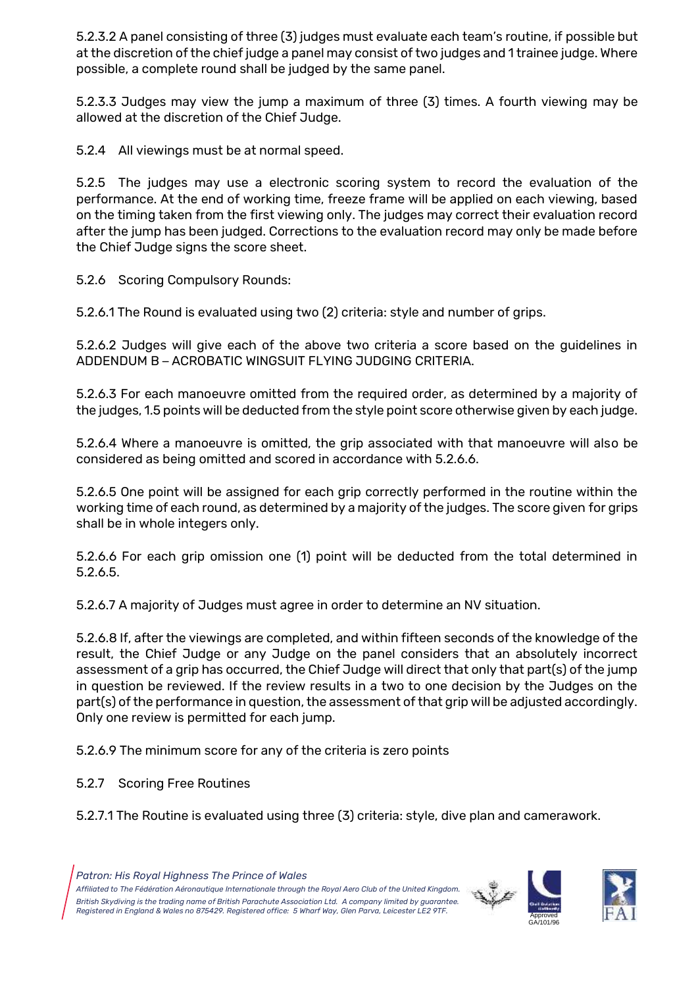5.2.3.2 A panel consisting of three (3) judges must evaluate each team's routine, if possible but at the discretion of the chief judge a panel may consist of two judges and 1 trainee judge. Where possible, a complete round shall be judged by the same panel.

5.2.3.3 Judges may view the jump a maximum of three (3) times. A fourth viewing may be allowed at the discretion of the Chief Judge.

5.2.4 All viewings must be at normal speed.

5.2.5 The judges may use a electronic scoring system to record the evaluation of the performance. At the end of working time, freeze frame will be applied on each viewing, based on the timing taken from the first viewing only. The judges may correct their evaluation record after the jump has been judged. Corrections to the evaluation record may only be made before the Chief Judge signs the score sheet.

5.2.6 Scoring Compulsory Rounds:

5.2.6.1 The Round is evaluated using two (2) criteria: style and number of grips.

5.2.6.2 Judges will give each of the above two criteria a score based on the guidelines in ADDENDUM B – ACROBATIC WINGSUIT FLYING JUDGING CRITERIA.

5.2.6.3 For each manoeuvre omitted from the required order, as determined by a majority of the judges, 1.5 points will be deducted from the style point score otherwise given by each judge.

5.2.6.4 Where a manoeuvre is omitted, the grip associated with that manoeuvre will also be considered as being omitted and scored in accordance with 5.2.6.6.

5.2.6.5 One point will be assigned for each grip correctly performed in the routine within the working time of each round, as determined by a majority of the judges. The score given for grips shall be in whole integers only.

5.2.6.6 For each grip omission one (1) point will be deducted from the total determined in 5.2.6.5.

5.2.6.7 A majority of Judges must agree in order to determine an NV situation.

5.2.6.8 If, after the viewings are completed, and within fifteen seconds of the knowledge of the result, the Chief Judge or any Judge on the panel considers that an absolutely incorrect assessment of a grip has occurred, the Chief Judge will direct that only that part(s) of the jump in question be reviewed. If the review results in a two to one decision by the Judges on the part(s) of the performance in question, the assessment of that grip will be adjusted accordingly. Only one review is permitted for each jump.

5.2.6.9 The minimum score for any of the criteria is zero points

5.2.7 Scoring Free Routines

5.2.7.1 The Routine is evaluated using three (3) criteria: style, dive plan and camerawork.



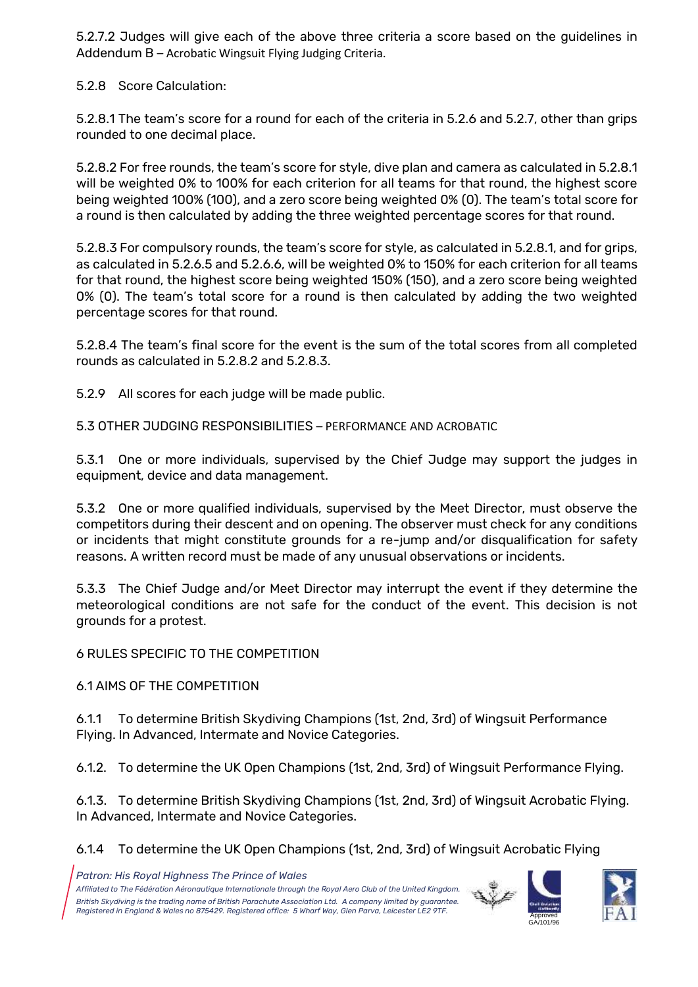5.2.7.2 Judges will give each of the above three criteria a score based on the guidelines in Addendum B – Acrobatic Wingsuit Flying Judging Criteria.

5.2.8 Score Calculation:

5.2.8.1 The team's score for a round for each of the criteria in 5.2.6 and 5.2.7, other than grips rounded to one decimal place.

5.2.8.2 For free rounds, the team's score for style, dive plan and camera as calculated in 5.2.8.1 will be weighted 0% to 100% for each criterion for all teams for that round, the highest score being weighted 100% (100), and a zero score being weighted 0% (0). The team's total score for a round is then calculated by adding the three weighted percentage scores for that round.

5.2.8.3 For compulsory rounds, the team's score for style, as calculated in 5.2.8.1, and for grips, as calculated in 5.2.6.5 and 5.2.6.6, will be weighted 0% to 150% for each criterion for all teams for that round, the highest score being weighted 150% (150), and a zero score being weighted 0% (0). The team's total score for a round is then calculated by adding the two weighted percentage scores for that round.

5.2.8.4 The team's final score for the event is the sum of the total scores from all completed rounds as calculated in 5.2.8.2 and 5.2.8.3.

5.2.9 All scores for each judge will be made public.

5.3 OTHER JUDGING RESPONSIBILITIES – PERFORMANCE AND ACROBATIC

5.3.1 One or more individuals, supervised by the Chief Judge may support the judges in equipment, device and data management.

5.3.2 One or more qualified individuals, supervised by the Meet Director, must observe the competitors during their descent and on opening. The observer must check for any conditions or incidents that might constitute grounds for a re-jump and/or disqualification for safety reasons. A written record must be made of any unusual observations or incidents.

5.3.3 The Chief Judge and/or Meet Director may interrupt the event if they determine the meteorological conditions are not safe for the conduct of the event. This decision is not grounds for a protest.

6 RULES SPECIFIC TO THE COMPETITION

6.1 AIMS OF THE COMPETITION

6.1.1 To determine British Skydiving Champions (1st, 2nd, 3rd) of Wingsuit Performance Flying. In Advanced, Intermate and Novice Categories.

6.1.2. To determine the UK Open Champions (1st, 2nd, 3rd) of Wingsuit Performance Flying.

6.1.3. To determine British Skydiving Champions (1st, 2nd, 3rd) of Wingsuit Acrobatic Flying. In Advanced, Intermate and Novice Categories.

6.1.4 To determine the UK Open Champions (1st, 2nd, 3rd) of Wingsuit Acrobatic Flying



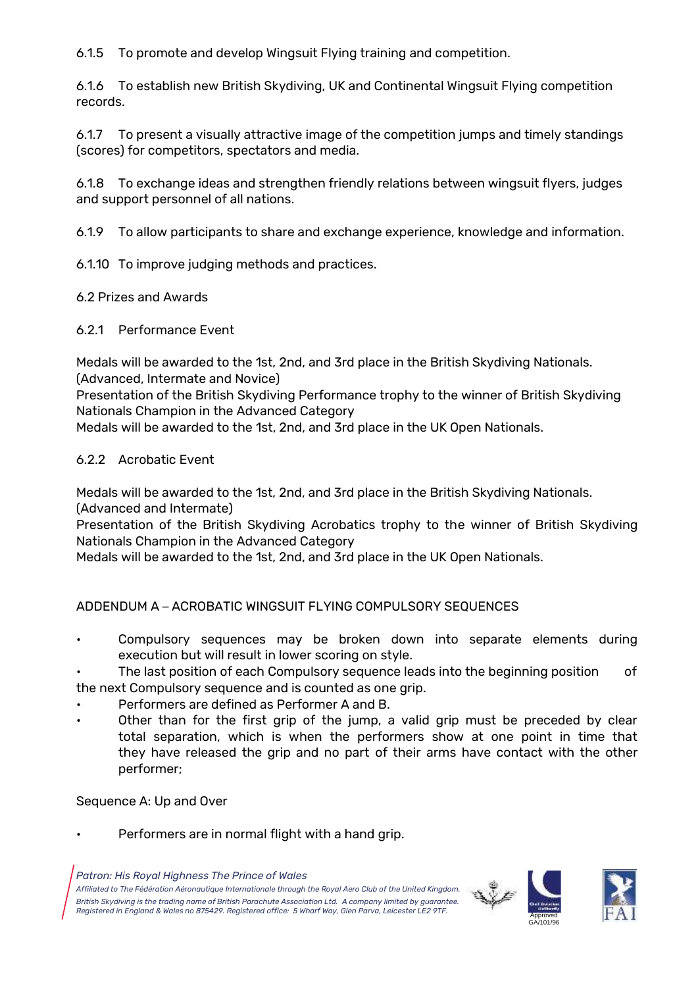6.1.5 To promote and develop Wingsuit Flying training and competition.

6.1.6 To establish new British Skydiving, UK and Continental Wingsuit Flying competition records.

6.1.7 To present a visually attractive image of the competition jumps and timely standings (scores) for competitors, spectators and media.

6.1.8 To exchange ideas and strengthen friendly relations between wingsuit flyers, judges and support personnel of all nations.

6.1.9 To allow participants to share and exchange experience, knowledge and information.

6.1.10 To improve judging methods and practices.

6.2 Prizes and Awards

6.2.1 Performance Event

Medals will be awarded to the 1st, 2nd, and 3rd place in the British Skydiving Nationals. (Advanced, Intermate and Novice)

Presentation of the British Skydiving Performance trophy to the winner of British Skydiving Nationals Champion in the Advanced Category

Medals will be awarded to the 1st, 2nd, and 3rd place in the UK Open Nationals.

### 6.2.2 Acrobatic Event

Medals will be awarded to the 1st, 2nd, and 3rd place in the British Skydiving Nationals. (Advanced and Intermate)

Presentation of the British Skydiving Acrobatics trophy to the winner of British Skydiving Nationals Champion in the Advanced Category

Medals will be awarded to the 1st, 2nd, and 3rd place in the UK Open Nationals.

ADDENDUM A – ACROBATIC WINGSUIT FLYING COMPULSORY SEQUENCES

• Compulsory sequences may be broken down into separate elements during execution but will result in lower scoring on style.

The last position of each Compulsory sequence leads into the beginning position of the next Compulsory sequence and is counted as one grip.

- Performers are defined as Performer A and B.
- Other than for the first grip of the jump, a valid grip must be preceded by clear total separation, which is when the performers show at one point in time that they have released the grip and no part of their arms have contact with the other performer;

Sequence A: Up and Over

Performers are in normal flight with a hand grip.

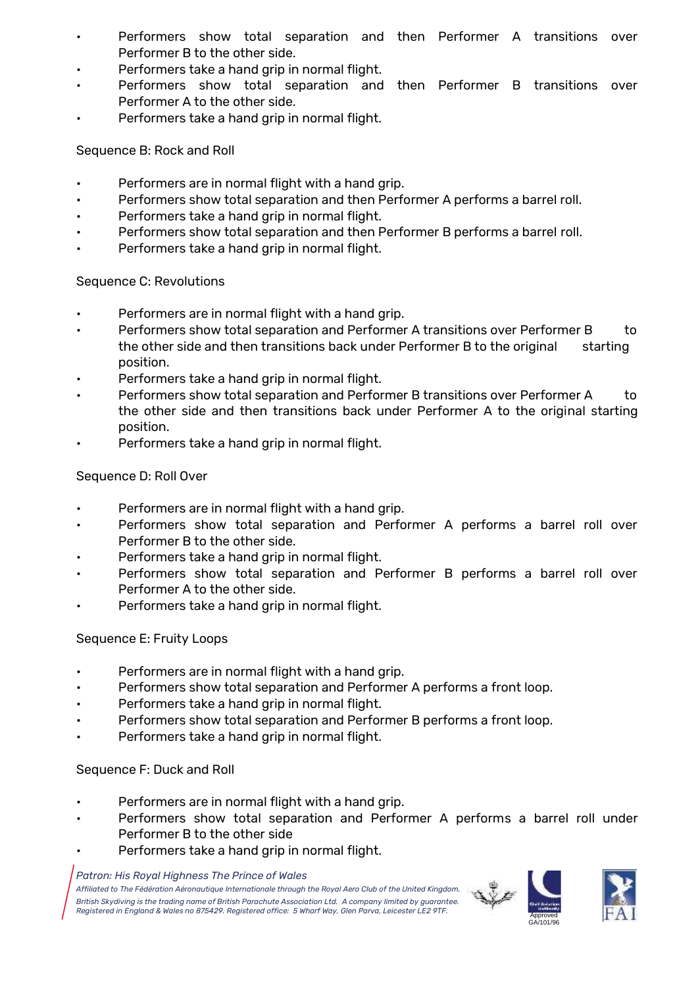- Performers show total separation and then Performer A transitions over Performer B to the other side.
- Performers take a hand grip in normal flight.
- Performers show total separation and then Performer B transitions over Performer A to the other side.
- Performers take a hand grip in normal flight.

### Sequence B: Rock and Roll

- Performers are in normal flight with a hand grip.
- Performers show total separation and then Performer A performs a barrel roll.
- Performers take a hand grip in normal flight.
- Performers show total separation and then Performer B performs a barrel roll.
- Performers take a hand grip in normal flight.

### Sequence C: Revolutions

- Performers are in normal flight with a hand grip.
- Performers show total separation and Performer A transitions over Performer B to the other side and then transitions back under Performer B to the original starting position.
- Performers take a hand grip in normal flight.
- Performers show total separation and Performer B transitions over Performer A to the other side and then transitions back under Performer A to the original starting position.
- Performers take a hand grip in normal flight.

### Sequence D: Roll Over

- Performers are in normal flight with a hand grip.
- Performers show total separation and Performer A performs a barrel roll over Performer B to the other side.
- Performers take a hand grip in normal flight.
- Performers show total separation and Performer B performs a barrel roll over Performer A to the other side.
- Performers take a hand grip in normal flight.

### Sequence E: Fruity Loops

- Performers are in normal flight with a hand grip.
- Performers show total separation and Performer A performs a front loop.
- Performers take a hand grip in normal flight.
- Performers show total separation and Performer B performs a front loop.
- Performers take a hand grip in normal flight.

### Sequence F: Duck and Roll

- Performers are in normal flight with a hand grip.
- Performers show total separation and Performer A performs a barrel roll under Performer B to the other side
- Performers take a hand grip in normal flight.

#### *Patron: His Royal Highness The Prince of Wales*

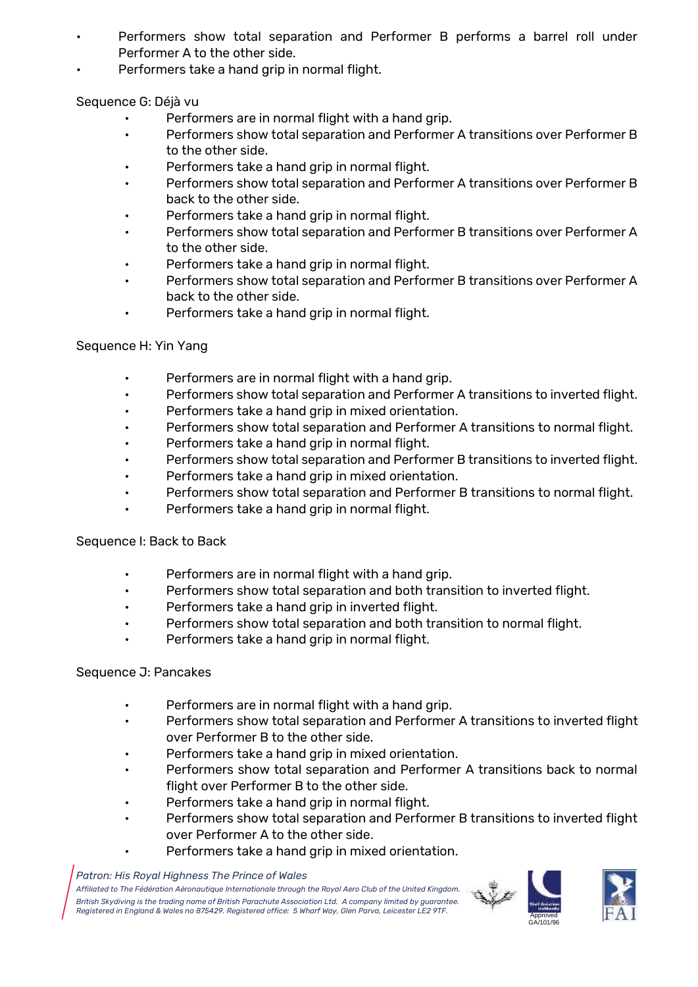- Performers show total separation and Performer B performs a barrel roll under Performer A to the other side.
- Performers take a hand grip in normal flight.

Sequence G: Déjà vu

- Performers are in normal flight with a hand grip.
- Performers show total separation and Performer A transitions over Performer B to the other side.
- Performers take a hand grip in normal flight.
- Performers show total separation and Performer A transitions over Performer B back to the other side.
- Performers take a hand grip in normal flight.
- Performers show total separation and Performer B transitions over Performer A to the other side.
- Performers take a hand grip in normal flight.
- Performers show total separation and Performer B transitions over Performer A back to the other side.
- Performers take a hand grip in normal flight.

### Sequence H: Yin Yang

- Performers are in normal flight with a hand grip.
- Performers show total separation and Performer A transitions to inverted flight.
- Performers take a hand grip in mixed orientation.
- Performers show total separation and Performer A transitions to normal flight.
- Performers take a hand grip in normal flight.
- Performers show total separation and Performer B transitions to inverted flight.
- Performers take a hand grip in mixed orientation.
- Performers show total separation and Performer B transitions to normal flight.
- Performers take a hand grip in normal flight.

### Sequence I: Back to Back

- Performers are in normal flight with a hand grip.
- Performers show total separation and both transition to inverted flight.
- Performers take a hand grip in inverted flight.
- Performers show total separation and both transition to normal flight.
- Performers take a hand grip in normal flight.

### Sequence J: Pancakes

- Performers are in normal flight with a hand grip.
- Performers show total separation and Performer A transitions to inverted flight over Performer B to the other side.
- Performers take a hand grip in mixed orientation.
- Performers show total separation and Performer A transitions back to normal flight over Performer B to the other side.
- Performers take a hand grip in normal flight.
- Performers show total separation and Performer B transitions to inverted flight over Performer A to the other side.
- Performers take a hand grip in mixed orientation.

#### *Patron: His Royal Highness The Prince of Wales*



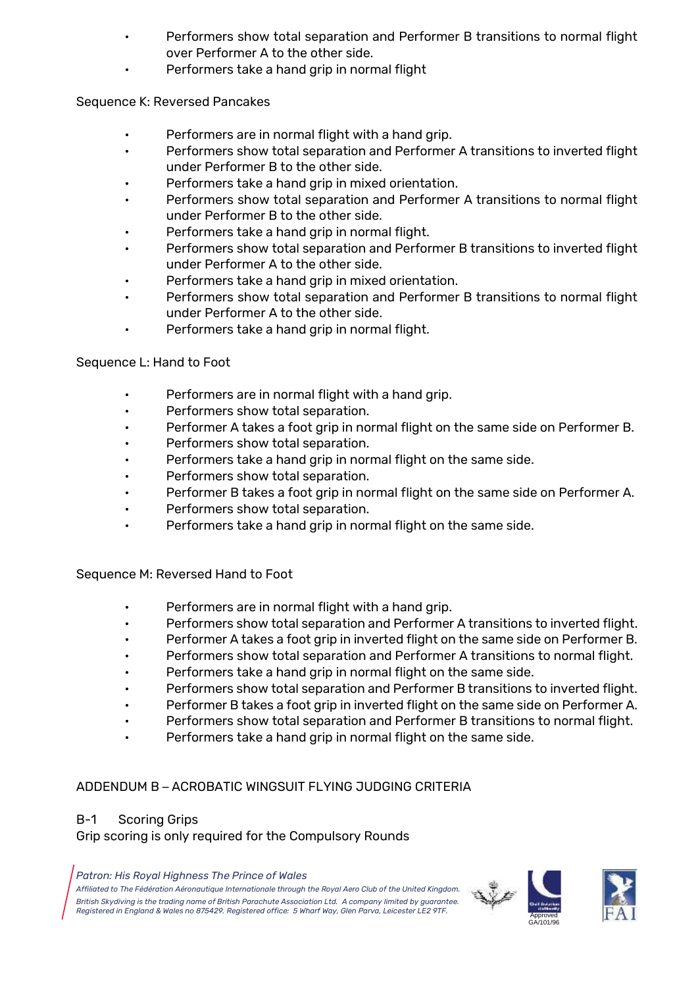- Performers show total separation and Performer B transitions to normal flight over Performer A to the other side.
- Performers take a hand grip in normal flight

Sequence K: Reversed Pancakes

- Performers are in normal flight with a hand grip.
- Performers show total separation and Performer A transitions to inverted flight under Performer B to the other side.
- Performers take a hand grip in mixed orientation.
- Performers show total separation and Performer A transitions to normal flight under Performer B to the other side.
- Performers take a hand grip in normal flight.
- Performers show total separation and Performer B transitions to inverted flight under Performer A to the other side.
- Performers take a hand grip in mixed orientation.
- Performers show total separation and Performer B transitions to normal flight under Performer A to the other side.
- Performers take a hand grip in normal flight.

### Sequence L: Hand to Foot

- Performers are in normal flight with a hand grip.
- Performers show total separation.
- Performer A takes a foot grip in normal flight on the same side on Performer B.
- Performers show total separation.
- Performers take a hand grip in normal flight on the same side.
- Performers show total separation.
- Performer B takes a foot grip in normal flight on the same side on Performer A.
- Performers show total separation.
- Performers take a hand grip in normal flight on the same side.

Sequence M: Reversed Hand to Foot

- Performers are in normal flight with a hand grip.
- Performers show total separation and Performer A transitions to inverted flight.
- Performer A takes a foot grip in inverted flight on the same side on Performer B.
- Performers show total separation and Performer A transitions to normal flight.
- Performers take a hand grip in normal flight on the same side.
- Performers show total separation and Performer B transitions to inverted flight.
- Performer B takes a foot grip in inverted flight on the same side on Performer A.
- Performers show total separation and Performer B transitions to normal flight.
- Performers take a hand grip in normal flight on the same side.

### ADDENDUM B – ACROBATIC WINGSUIT FLYING JUDGING CRITERIA

### B-1 Scoring Grips

Grip scoring is only required for the Compulsory Rounds

*Patron: His Royal Highness The Prince of Wales*

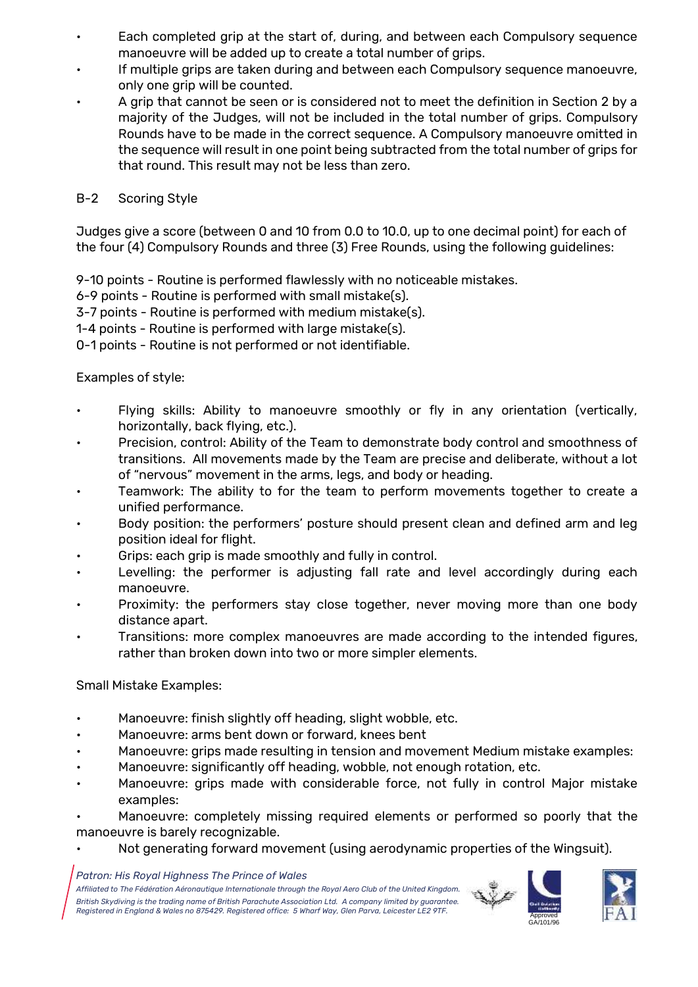- Each completed grip at the start of, during, and between each Compulsory sequence manoeuvre will be added up to create a total number of grips.
- If multiple grips are taken during and between each Compulsory sequence manoeuvre, only one grip will be counted.
- A grip that cannot be seen or is considered not to meet the definition in Section 2 by a majority of the Judges, will not be included in the total number of grips. Compulsory Rounds have to be made in the correct sequence. A Compulsory manoeuvre omitted in the sequence will result in one point being subtracted from the total number of grips for that round. This result may not be less than zero.

### B-2 Scoring Style

Judges give a score (between 0 and 10 from 0.0 to 10.0, up to one decimal point) for each of the four (4) Compulsory Rounds and three (3) Free Rounds, using the following guidelines:

9-10 points - Routine is performed flawlessly with no noticeable mistakes.

6-9 points - Routine is performed with small mistake(s).

3-7 points - Routine is performed with medium mistake(s).

1-4 points - Routine is performed with large mistake(s).

0-1 points - Routine is not performed or not identifiable.

Examples of style:

- Flying skills: Ability to manoeuvre smoothly or fly in any orientation (vertically, horizontally, back flying, etc.).
- Precision, control: Ability of the Team to demonstrate body control and smoothness of transitions. All movements made by the Team are precise and deliberate, without a lot of "nervous" movement in the arms, legs, and body or heading.
- Teamwork: The ability to for the team to perform movements together to create a unified performance.
- Body position: the performers' posture should present clean and defined arm and leg position ideal for flight.
- Grips: each grip is made smoothly and fully in control.
- Levelling: the performer is adjusting fall rate and level accordingly during each manoeuvre.
- Proximity: the performers stay close together, never moving more than one body distance apart.
- Transitions: more complex manoeuvres are made according to the intended figures, rather than broken down into two or more simpler elements.

Small Mistake Examples:

- Manoeuvre: finish slightly off heading, slight wobble, etc.
- Manoeuvre: arms bent down or forward, knees bent
- Manoeuvre: grips made resulting in tension and movement Medium mistake examples:
- Manoeuvre: significantly off heading, wobble, not enough rotation, etc.
- Manoeuvre: grips made with considerable force, not fully in control Major mistake examples:

• Manoeuvre: completely missing required elements or performed so poorly that the manoeuvre is barely recognizable.

• Not generating forward movement (using aerodynamic properties of the Wingsuit).

*Patron: His Royal Highness The Prince of Wales*



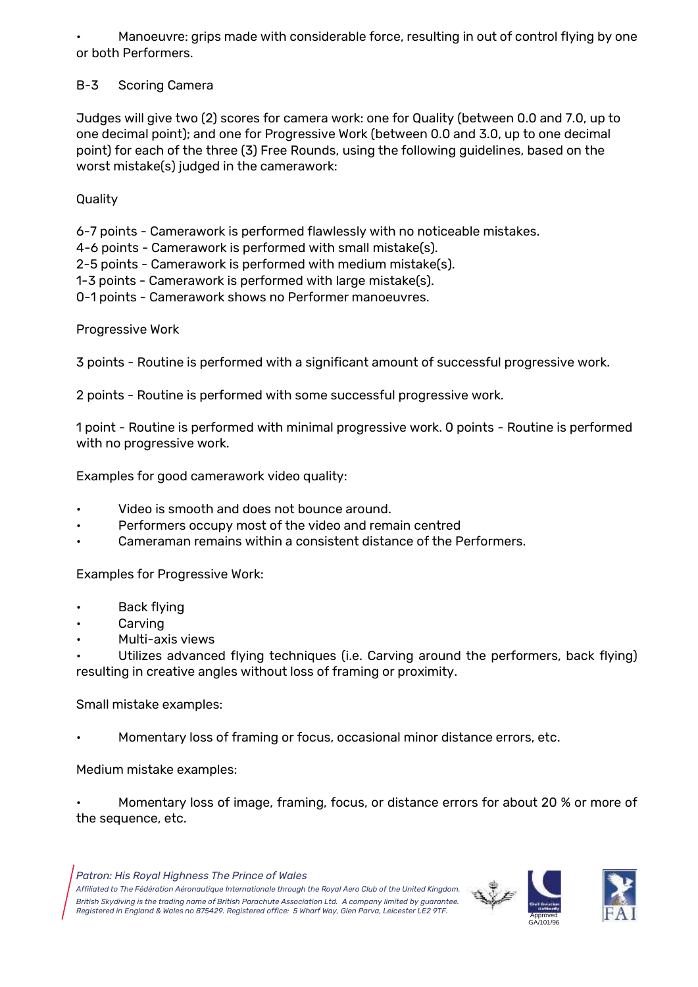• Manoeuvre: grips made with considerable force, resulting in out of control flying by one or both Performers.

### B-3 Scoring Camera

Judges will give two (2) scores for camera work: one for Quality (between 0.0 and 7.0, up to one decimal point); and one for Progressive Work (between 0.0 and 3.0, up to one decimal point) for each of the three (3) Free Rounds, using the following guidelines, based on the worst mistake(s) judged in the camerawork:

Quality

6-7 points - Camerawork is performed flawlessly with no noticeable mistakes.

4-6 points - Camerawork is performed with small mistake(s).

2-5 points - Camerawork is performed with medium mistake(s).

1-3 points - Camerawork is performed with large mistake(s).

0-1 points - Camerawork shows no Performer manoeuvres.

Progressive Work

3 points - Routine is performed with a significant amount of successful progressive work.

2 points - Routine is performed with some successful progressive work.

1 point - Routine is performed with minimal progressive work. 0 points - Routine is performed with no progressive work.

Examples for good camerawork video quality:

- Video is smooth and does not bounce around.
- Performers occupy most of the video and remain centred
- Cameraman remains within a consistent distance of the Performers.

Examples for Progressive Work:

- Back flying
- **Carving**
- Multi-axis views

Utilizes advanced flying techniques (i.e. Carving around the performers, back flying) resulting in creative angles without loss of framing or proximity.

Small mistake examples:

• Momentary loss of framing or focus, occasional minor distance errors, etc.

Medium mistake examples:

• Momentary loss of image, framing, focus, or distance errors for about 20 % or more of the sequence, etc.



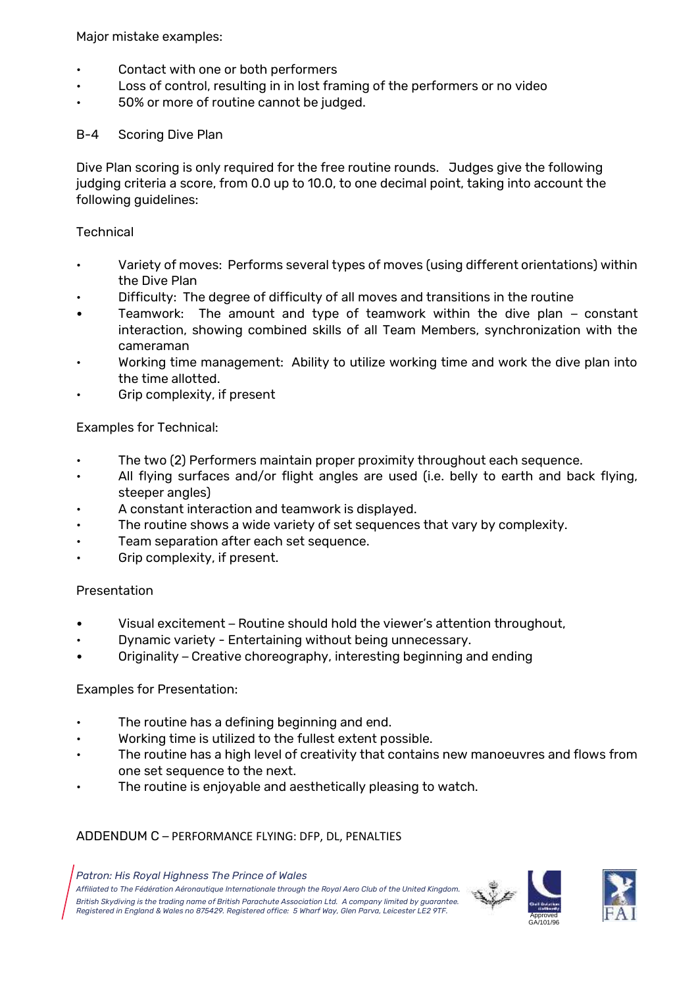Major mistake examples:

- Contact with one or both performers
- Loss of control, resulting in in lost framing of the performers or no video
- 50% or more of routine cannot be judged.

### B-4 Scoring Dive Plan

Dive Plan scoring is only required for the free routine rounds. Judges give the following judging criteria a score, from 0.0 up to 10.0, to one decimal point, taking into account the following guidelines:

### **Technical**

- Variety of moves: Performs several types of moves (using different orientations) within the Dive Plan
- Difficulty: The degree of difficulty of all moves and transitions in the routine
- Teamwork: The amount and type of teamwork within the dive plan constant interaction, showing combined skills of all Team Members, synchronization with the cameraman
- Working time management: Ability to utilize working time and work the dive plan into the time allotted.
- Grip complexity, if present

### Examples for Technical:

- The two (2) Performers maintain proper proximity throughout each sequence.
- All flying surfaces and/or flight angles are used (i.e. belly to earth and back flying, steeper angles)
- A constant interaction and teamwork is displayed.
- The routine shows a wide variety of set sequences that vary by complexity.
- Team separation after each set sequence.
- Grip complexity, if present.

#### Presentation

- Visual excitement Routine should hold the viewer's attention throughout,
- Dynamic variety Entertaining without being unnecessary.
- Originality Creative choreography, interesting beginning and ending

### Examples for Presentation:

- The routine has a defining beginning and end.
- Working time is utilized to the fullest extent possible.
- The routine has a high level of creativity that contains new manoeuvres and flows from one set sequence to the next.
- The routine is enjoyable and aesthetically pleasing to watch.

### ADDENDUM C – PERFORMANCE FLYING: DFP, DL, PENALTIES